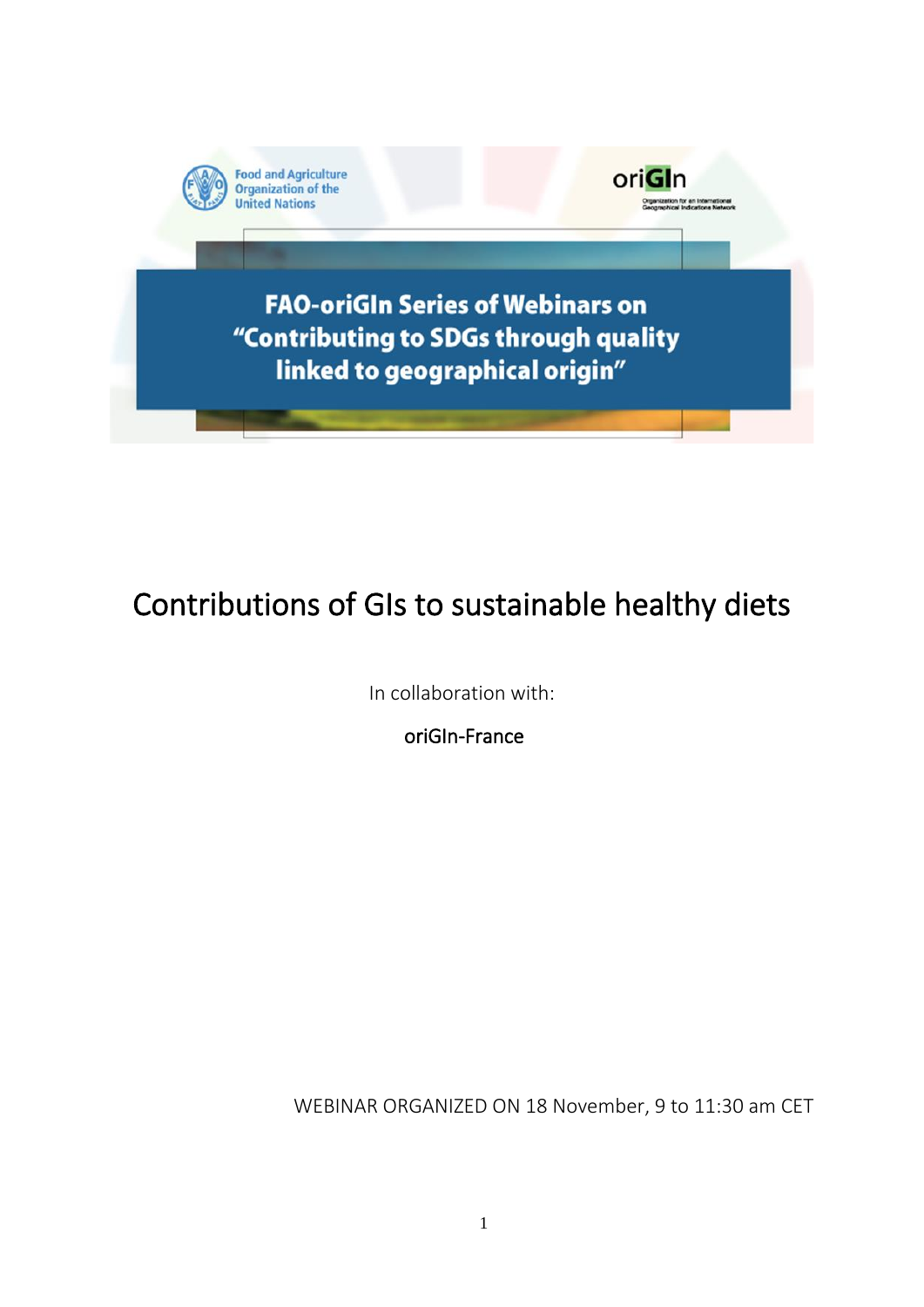

# Contributions of GIs to sustainable healthy diets

In collaboration with:

oriGIn-France

WEBINAR ORGANIZED ON 18 November, 9 to 11:30 am CET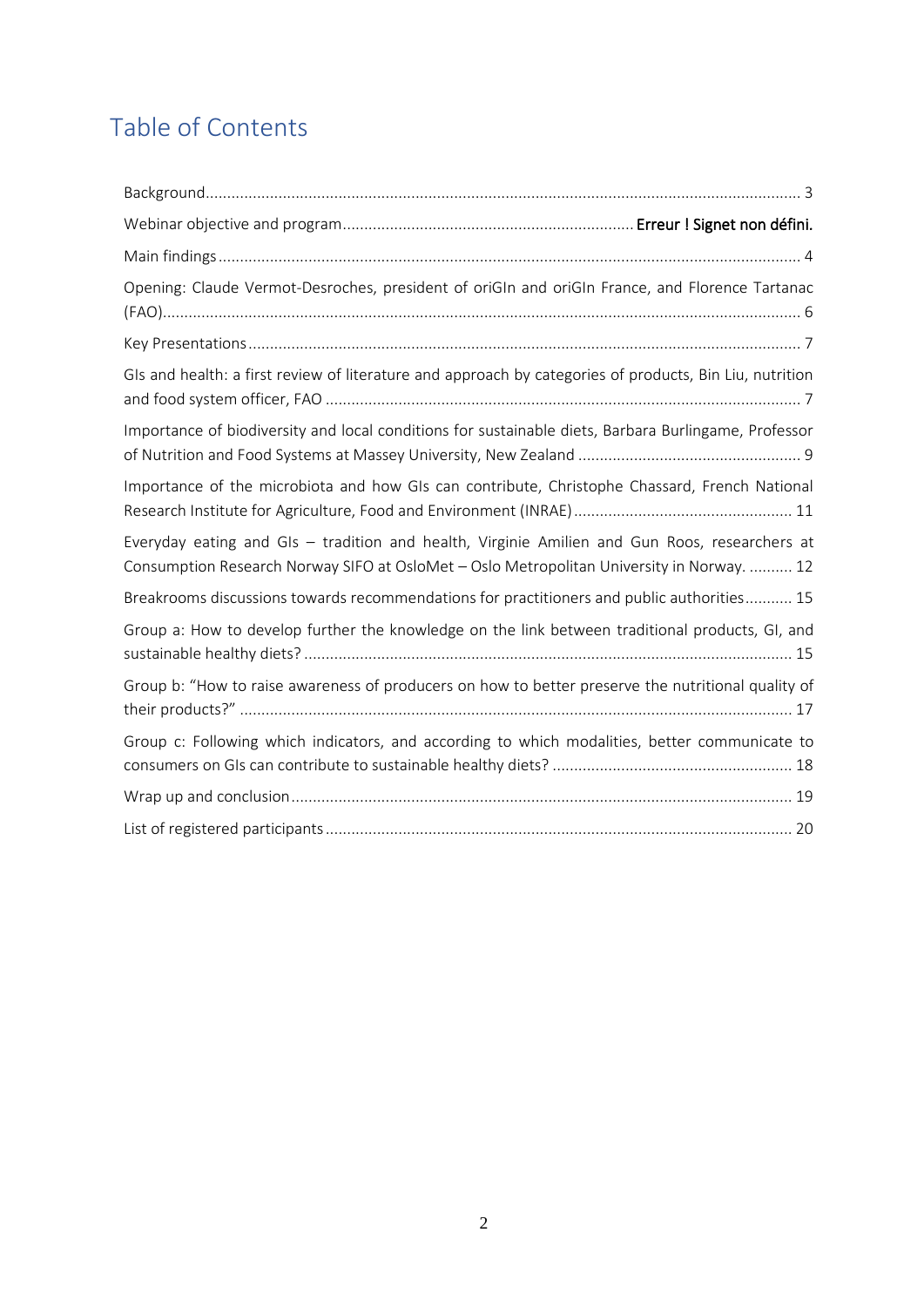# Table of Contents

| Opening: Claude Vermot-Desroches, president of oriGIn and oriGIn France, and Florence Tartanac                                                                                             |
|--------------------------------------------------------------------------------------------------------------------------------------------------------------------------------------------|
|                                                                                                                                                                                            |
| GIs and health: a first review of literature and approach by categories of products, Bin Liu, nutrition                                                                                    |
| Importance of biodiversity and local conditions for sustainable diets, Barbara Burlingame, Professor                                                                                       |
| Importance of the microbiota and how GIs can contribute, Christophe Chassard, French National                                                                                              |
| Everyday eating and GIs - tradition and health, Virginie Amilien and Gun Roos, researchers at<br>Consumption Research Norway SIFO at OsloMet - Oslo Metropolitan University in Norway.  12 |
| Breakrooms discussions towards recommendations for practitioners and public authorities 15                                                                                                 |
| Group a: How to develop further the knowledge on the link between traditional products, GI, and                                                                                            |
| Group b: "How to raise awareness of producers on how to better preserve the nutritional quality of                                                                                         |
| Group c: Following which indicators, and according to which modalities, better communicate to                                                                                              |
|                                                                                                                                                                                            |
|                                                                                                                                                                                            |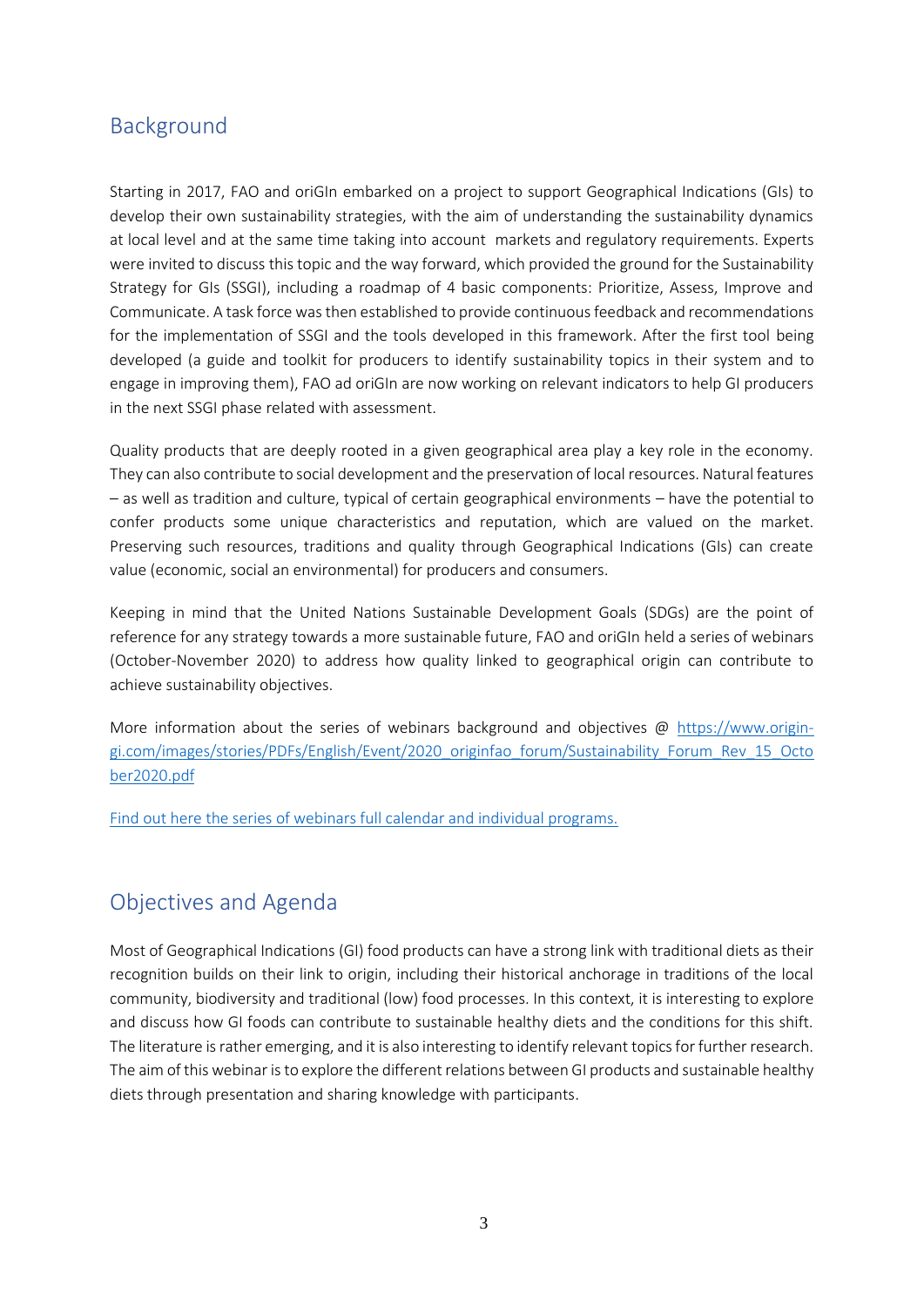## <span id="page-2-0"></span>Background

Starting in 2017, FAO and oriGIn embarked on a project to support Geographical Indications (GIs) to develop their own sustainability strategies, with the aim of understanding the sustainability dynamics at local level and at the same time taking into account markets and regulatory requirements. Experts were invited to discuss this topic and the way forward, which provided the ground for the Sustainability Strategy for GIs (SSGI), including a roadmap of 4 basic components: Prioritize, Assess, Improve and Communicate. A task force was then established to provide continuous feedback and recommendations for the implementation of SSGI and the tools developed in this framework. After the first tool being developed (a guide and toolkit for producers to identify sustainability topics in their system and to engage in improving them), FAO ad oriGIn are now working on relevant indicators to help GI producers in the next SSGI phase related with assessment.

Quality products that are deeply rooted in a given geographical area play a key role in the economy. They can also contribute to social development and the preservation of local resources. Natural features – as well as tradition and culture, typical of certain geographical environments – have the potential to confer products some unique characteristics and reputation, which are valued on the market. Preserving such resources, traditions and quality through Geographical Indications (GIs) can create value (economic, social an environmental) for producers and consumers.

Keeping in mind that the United Nations Sustainable Development Goals (SDGs) are the point of reference for any strategy towards a more sustainable future, FAO and oriGIn held a series of webinars (October-November 2020) to address how quality linked to geographical origin can contribute to achieve sustainability objectives.

More information about the series of webinars background and objectives @ [https://www.origin](https://www.origin-gi.com/images/stories/PDFs/English/Event/2020_originfao_forum/Sustainability_Forum_Rev_15_October2020.pdf)[gi.com/images/stories/PDFs/English/Event/2020\\_originfao\\_forum/Sustainability\\_Forum\\_Rev\\_15\\_Octo](https://www.origin-gi.com/images/stories/PDFs/English/Event/2020_originfao_forum/Sustainability_Forum_Rev_15_October2020.pdf) [ber2020.pdf](https://www.origin-gi.com/images/stories/PDFs/English/Event/2020_originfao_forum/Sustainability_Forum_Rev_15_October2020.pdf)

[Find out here the series of webinars full calendar and individual programs.](https://www.origin-gi.com/content-page/item/15338-individual-webinars-programs.html)

## Objectives and Agenda

Most of Geographical Indications (GI) food products can have a strong link with traditional diets as their recognition builds on their link to origin, including their historical anchorage in traditions of the local community, biodiversity and traditional (low) food processes. In this context, it is interesting to explore and discuss how GI foods can contribute to sustainable healthy diets and the conditions for this shift. The literature is rather emerging, and it is also interesting to identify relevant topics for further research. The aim of this webinar is to explore the different relations between GI products and sustainable healthy diets through presentation and sharing knowledge with participants.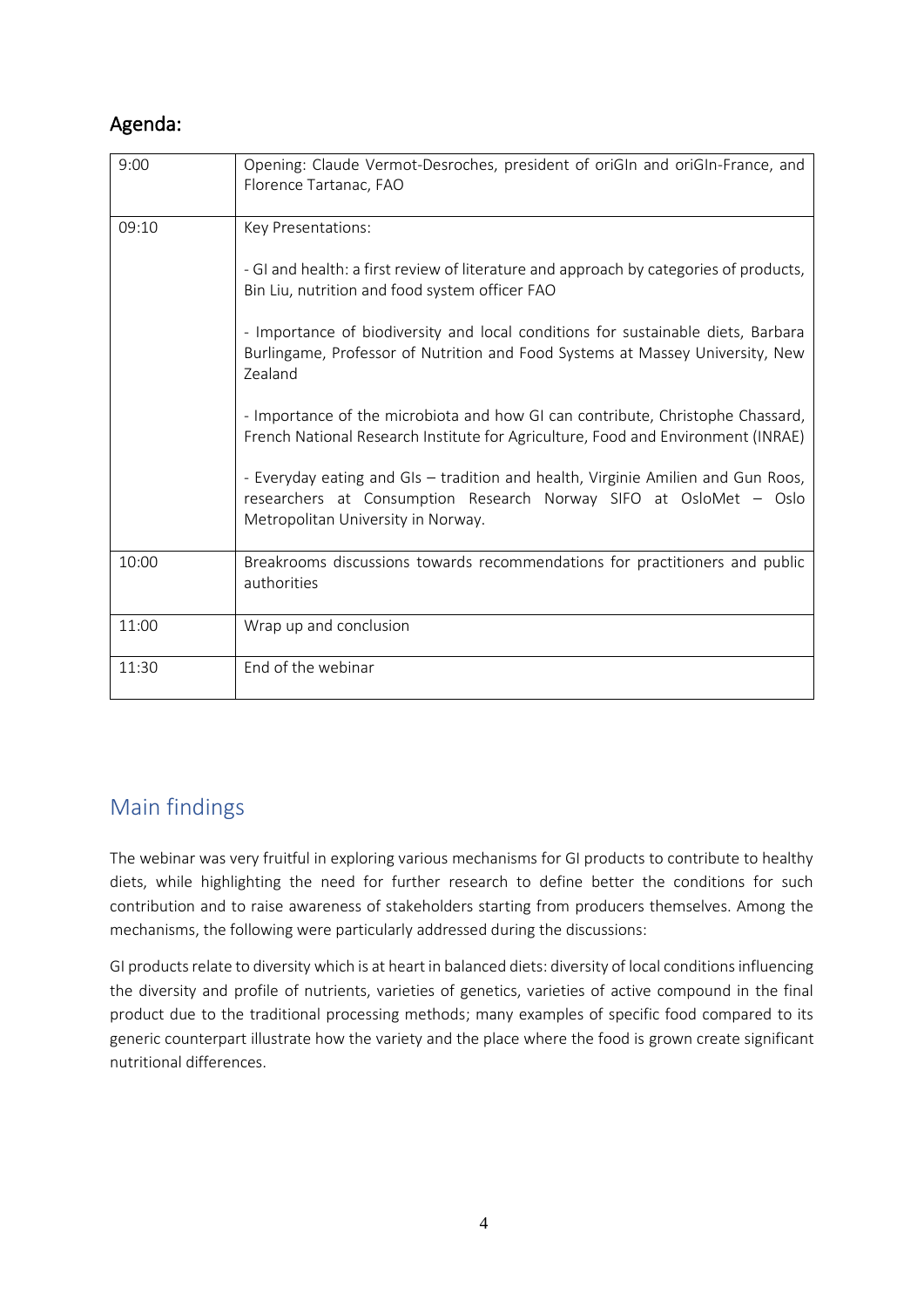## Agenda:

| 9:00  | Opening: Claude Vermot-Desroches, president of oriGIn and oriGIn-France, and<br>Florence Tartanac, FAO                                                                                                              |
|-------|---------------------------------------------------------------------------------------------------------------------------------------------------------------------------------------------------------------------|
| 09:10 | Key Presentations:<br>- GI and health: a first review of literature and approach by categories of products,                                                                                                         |
|       | Bin Liu, nutrition and food system officer FAO<br>- Importance of biodiversity and local conditions for sustainable diets, Barbara<br>Burlingame, Professor of Nutrition and Food Systems at Massey University, New |
|       | Zealand<br>- Importance of the microbiota and how GI can contribute, Christophe Chassard,                                                                                                                           |
|       | French National Research Institute for Agriculture, Food and Environment (INRAE)<br>- Everyday eating and GIs - tradition and health, Virginie Amilien and Gun Roos,                                                |
|       | researchers at Consumption Research Norway SIFO at OsloMet - Oslo<br>Metropolitan University in Norway.                                                                                                             |
| 10:00 | Breakrooms discussions towards recommendations for practitioners and public<br>authorities                                                                                                                          |
| 11:00 | Wrap up and conclusion                                                                                                                                                                                              |
| 11:30 | End of the webinar                                                                                                                                                                                                  |

## <span id="page-3-0"></span>Main findings

The webinar was very fruitful in exploring various mechanisms for GI products to contribute to healthy diets, while highlighting the need for further research to define better the conditions for such contribution and to raise awareness of stakeholders starting from producers themselves. Among the mechanisms, the following were particularly addressed during the discussions:

GI products relate to diversity which is at heart in balanced diets: diversity of local conditions influencing the diversity and profile of nutrients, varieties of genetics, varieties of active compound in the final product due to the traditional processing methods; many examples of specific food compared to its generic counterpart illustrate how the variety and the place where the food is grown create significant nutritional differences.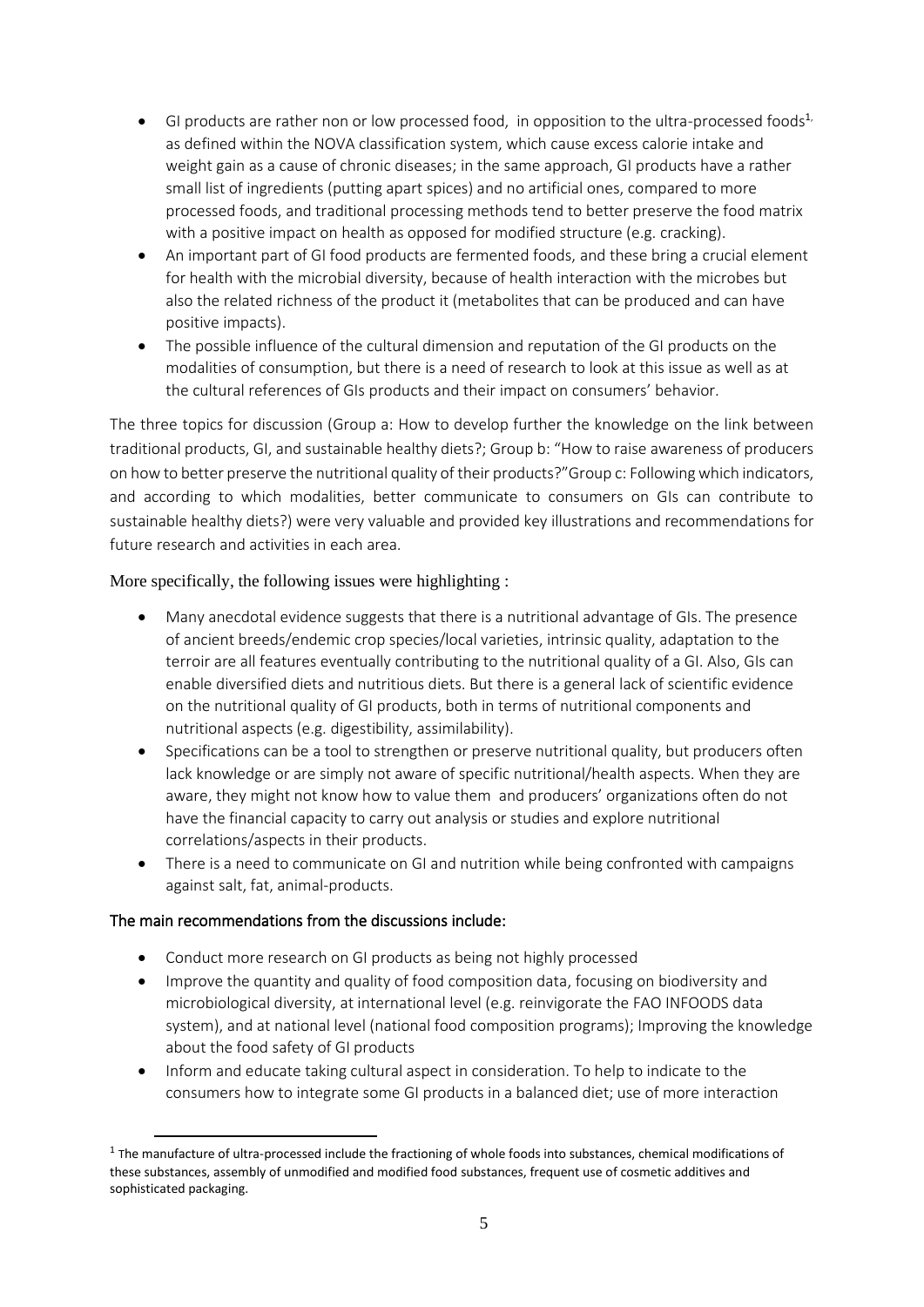- GI products are rather non or low processed food, in opposition to the ultra-processed foods<sup>1</sup> as defined within the NOVA classification system, which cause excess calorie intake and weight gain as a cause of chronic diseases; in the same approach, GI products have a rather small list of ingredients (putting apart spices) and no artificial ones, compared to more processed foods, and traditional processing methods tend to better preserve the food matrix with a positive impact on health as opposed for modified structure (e.g. cracking).
- An important part of GI food products are fermented foods, and these bring a crucial element for health with the microbial diversity, because of health interaction with the microbes but also the related richness of the product it (metabolites that can be produced and can have positive impacts).
- The possible influence of the cultural dimension and reputation of the GI products on the modalities of consumption, but there is a need of research to look at this issue as well as at the cultural references of GIs products and their impact on consumers' behavior.

The three topics for discussion (Group a: How to develop further the knowledge on the link between traditional products, GI, and sustainable healthy diets?; Group b: "How to raise awareness of producers on how to better preserve the nutritional quality of their products?"Group c: Following which indicators, and according to which modalities, better communicate to consumers on GIs can contribute to sustainable healthy diets?) were very valuable and provided key illustrations and recommendations for future research and activities in each area.

#### More specifically, the following issues were highlighting :

- Many anecdotal evidence suggests that there is a nutritional advantage of GIs. The presence of ancient breeds/endemic crop species/local varieties, intrinsic quality, adaptation to the terroir are all features eventually contributing to the nutritional quality of a GI. Also, GIs can enable diversified diets and nutritious diets. But there is a general lack of scientific evidence on the nutritional quality of GI products, both in terms of nutritional components and nutritional aspects (e.g. digestibility, assimilability).
- Specifications can be a tool to strengthen or preserve nutritional quality, but producers often lack knowledge or are simply not aware of specific nutritional/health aspects. When they are aware, they might not know how to value them and producers' organizations often do not have the financial capacity to carry out analysis or studies and explore nutritional correlations/aspects in their products.
- There is a need to communicate on GI and nutrition while being confronted with campaigns against salt, fat, animal-products.

#### The main recommendations from the discussions include:

- Conduct more research on GI products as being not highly processed
- Improve the quantity and quality of food composition data, focusing on biodiversity and microbiological diversity, at international level (e.g. reinvigorate the FAO INFOODS data system), and at national level (national food composition programs); Improving the knowledge about the food safety of GI products
- Inform and educate taking cultural aspect in consideration. To help to indicate to the consumers how to integrate some GI products in a balanced diet; use of more interaction

 $1$  The manufacture of ultra-processed include the fractioning of whole foods into substances, chemical modifications of these substances, assembly of unmodified and modified food substances, frequent use of cosmetic additives and sophisticated packaging.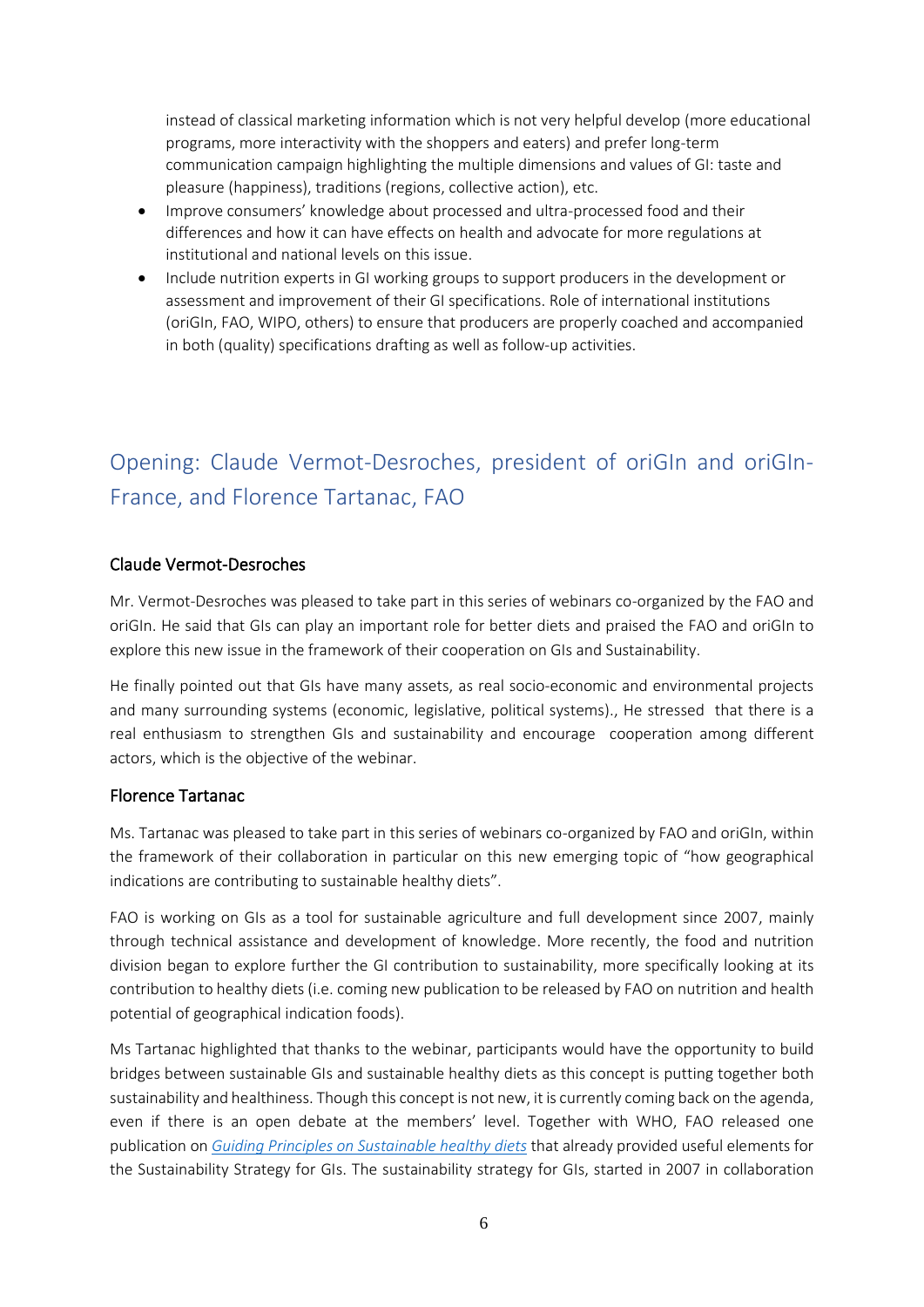instead of classical marketing information which is not very helpful develop (more educational programs, more interactivity with the shoppers and eaters) and prefer long-term communication campaign highlighting the multiple dimensions and values of GI: taste and pleasure (happiness), traditions (regions, collective action), etc.

- Improve consumers' knowledge about processed and ultra-processed food and their differences and how it can have effects on health and advocate for more regulations at institutional and national levels on this issue.
- Include nutrition experts in GI working groups to support producers in the development or assessment and improvement of their GI specifications. Role of international institutions (oriGIn, FAO, WIPO, others) to ensure that producers are properly coached and accompanied in both (quality) specifications drafting as well as follow-up activities.

## <span id="page-5-0"></span>Opening: Claude Vermot-Desroches, president of oriGIn and oriGIn-France, and Florence Tartanac, FAO

#### Claude Vermot-Desroches

Mr. Vermot-Desroches was pleased to take part in this series of webinars co-organized by the FAO and oriGIn. He said that GIs can play an important role for better diets and praised the FAO and oriGIn to explore this new issue in the framework of their cooperation on GIs and Sustainability.

He finally pointed out that GIs have many assets, as real socio-economic and environmental projects and many surrounding systems (economic, legislative, political systems)., He stressed that there is a real enthusiasm to strengthen GIs and sustainability and encourage cooperation among different actors, which is the objective of the webinar.

#### Florence Tartanac

Ms. Tartanac was pleased to take part in this series of webinars co-organized by FAO and oriGIn, within the framework of their collaboration in particular on this new emerging topic of "how geographical indications are contributing to sustainable healthy diets".

FAO is working on GIs as a tool for sustainable agriculture and full development since 2007, mainly through technical assistance and development of knowledge. More recently, the food and nutrition division began to explore further the GI contribution to sustainability, more specifically looking at its contribution to healthy diets (i.e. coming new publication to be released by FAO on nutrition and health potential of geographical indication foods).

Ms Tartanac highlighted that thanks to the webinar, participants would have the opportunity to build bridges between sustainable GIs and sustainable healthy diets as this concept is putting together both sustainability and healthiness. Though this concept is not new, it is currently coming back on the agenda, even if there is an open debate at the members' level. Together with WHO, FAO released one publication on *Guiding Principles [on Sustainable healthy diets](https://www.who.int/publications/i/item/9789241516648)* that already provided useful elements for the Sustainability Strategy for GIs. The sustainability strategy for GIs, started in 2007 in collaboration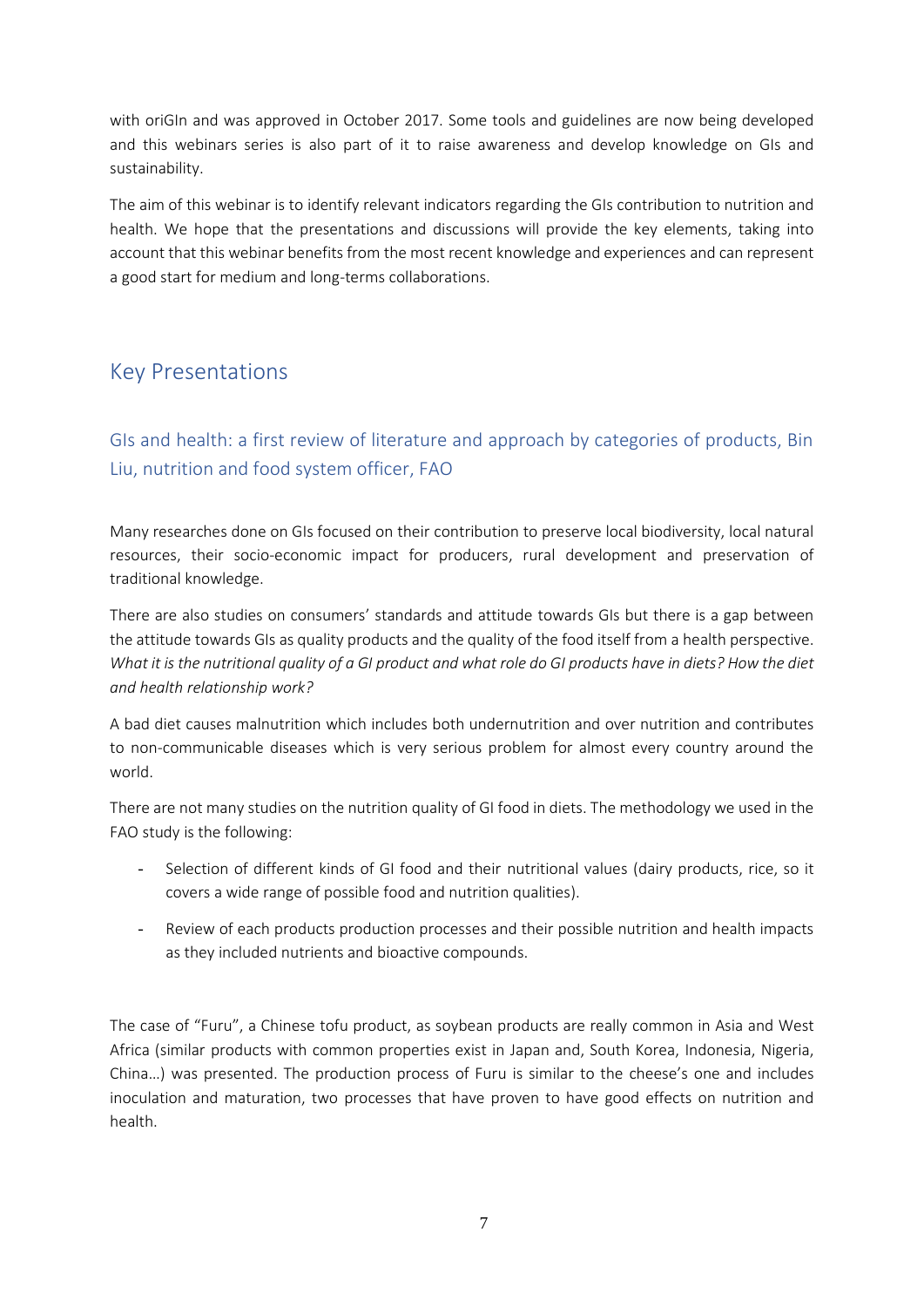with oriGIn and was approved in October 2017. Some tools and guidelines are now being developed and this webinars series is also part of it to raise awareness and develop knowledge on GIs and sustainability.

The aim of this webinar is to identify relevant indicators regarding the GIs contribution to nutrition and health. We hope that the presentations and discussions will provide the key elements, taking into account that this webinar benefits from the most recent knowledge and experiences and can represent a good start for medium and long-terms collaborations.

## <span id="page-6-0"></span>Key Presentations

### <span id="page-6-1"></span>GIs and health: a first review of literature and approach by categories of products, Bin Liu, nutrition and food system officer, FAO

Many researches done on GIs focused on their contribution to preserve local biodiversity, local natural resources, their socio-economic impact for producers, rural development and preservation of traditional knowledge.

There are also studies on consumers' standards and attitude towards GIs but there is a gap between the attitude towards GIs as quality products and the quality of the food itself from a health perspective. *What it is the nutritional quality of a GI product and what role do GI products have in diets? How the diet and health relationship work?* 

A bad diet causes malnutrition which includes both undernutrition and over nutrition and contributes to non-communicable diseases which is very serious problem for almost every country around the world.

There are not many studies on the nutrition quality of GI food in diets. The methodology we used in the FAO study is the following:

- Selection of different kinds of GI food and their nutritional values (dairy products, rice, so it covers a wide range of possible food and nutrition qualities).
- Review of each products production processes and their possible nutrition and health impacts as they included nutrients and bioactive compounds.

The case of "Furu", a Chinese tofu product, as soybean products are really common in Asia and West Africa (similar products with common properties exist in Japan and, South Korea, Indonesia, Nigeria, China…) was presented. The production process of Furu is similar to the cheese's one and includes inoculation and maturation, two processes that have proven to have good effects on nutrition and health.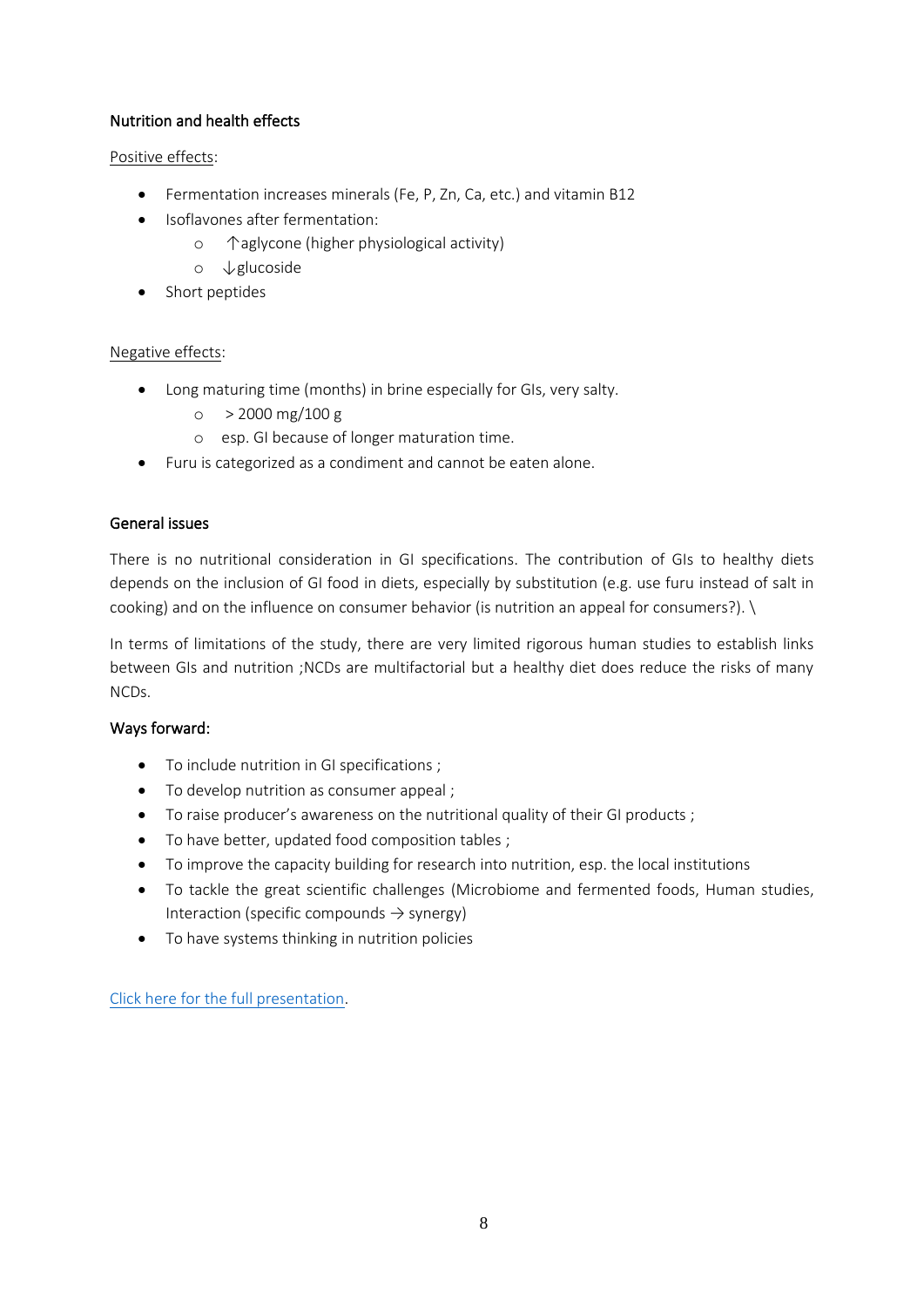#### Nutrition and health effects

#### Positive effects:

- Fermentation increases minerals (Fe, P, Zn, Ca, etc.) and vitamin B12
- Isoflavones after fermentation:
	- o ↑aglycone (higher physiological activity)
	- o ↓glucoside
- Short peptides

#### Negative effects:

- Long maturing time (months) in brine especially for GIs, very salty.
	- $\circ$  > 2000 mg/100 g
	- o esp. GI because of longer maturation time.
- Furu is categorized as a condiment and cannot be eaten alone.

#### General issues

There is no nutritional consideration in GI specifications. The contribution of GIs to healthy diets depends on the inclusion of GI food in diets, especially by substitution (e.g. use furu instead of salt in cooking) and on the influence on consumer behavior (is nutrition an appeal for consumers?). \

In terms of limitations of the study, there are very limited rigorous human studies to establish links between GIs and nutrition ;NCDs are multifactorial but a healthy diet does reduce the risks of many NCDs.

#### Ways forward:

- To include nutrition in GI specifications ;
- To develop nutrition as consumer appeal ;
- To raise producer's awareness on the nutritional quality of their GI products ;
- To have better, updated food composition tables ;
- To improve the capacity building for research into nutrition, esp. the local institutions
- To tackle the great scientific challenges (Microbiome and fermented foods, Human studies, Interaction (specific compounds  $\rightarrow$  synergy)
- To have systems thinking in nutrition policies

[Click here for the full presentation.](https://www.origin-gi.com/images/stories/PDFs/English/PPT/oriGIn-FAO_Series_of_webinars_2020-PPT/Bin_Liu-oriGIn_webinar_2020.pdf)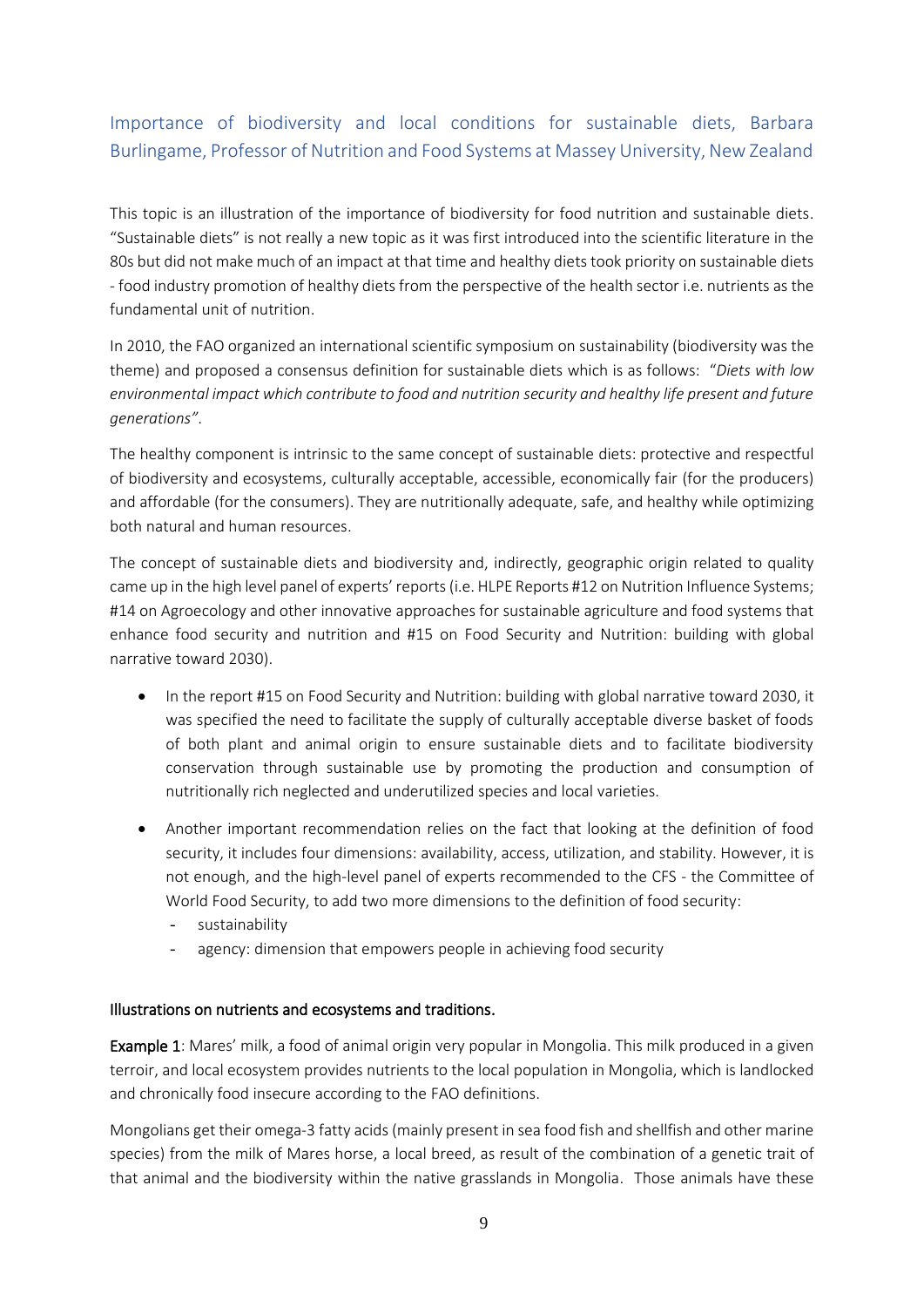### <span id="page-8-0"></span>Importance of biodiversity and local conditions for sustainable diets, Barbara Burlingame, Professor of Nutrition and Food Systems at Massey University, New Zealand

This topic is an illustration of the importance of biodiversity for food nutrition and sustainable diets. "Sustainable diets" is not really a new topic as it was first introduced into the scientific literature in the 80s but did not make much of an impact at that time and healthy diets took priority on sustainable diets - food industry promotion of healthy diets from the perspective of the health sector i.e. nutrients as the fundamental unit of nutrition.

In 2010, the FAO organized an international scientific symposium on sustainability (biodiversity was the theme) and proposed a consensus definition for sustainable diets which is as follows: "*Diets with low environmental impact which contribute to food and nutrition security and healthy life present and future generations"*.

The healthy component is intrinsic to the same concept of sustainable diets: protective and respectful of biodiversity and ecosystems, culturally acceptable, accessible, economically fair (for the producers) and affordable (for the consumers). They are nutritionally adequate, safe, and healthy while optimizing both natural and human resources.

The concept of sustainable diets and biodiversity and, indirectly, geographic origin related to quality came up in the high level panel of experts' reports (i.e. HLPE Reports #12 on Nutrition Influence Systems; #14 on Agroecology and other innovative approaches for sustainable agriculture and food systems that enhance food security and nutrition and #15 on Food Security and Nutrition: building with global narrative toward 2030).

- In the report #15 on Food Security and Nutrition: building with global narrative toward 2030, it was specified the need to facilitate the supply of culturally acceptable diverse basket of foods of both plant and animal origin to ensure sustainable diets and to facilitate biodiversity conservation through sustainable use by promoting the production and consumption of nutritionally rich neglected and underutilized species and local varieties.
- Another important recommendation relies on the fact that looking at the definition of food security, it includes four dimensions: availability, access, utilization, and stability. However, it is not enough, and the high-level panel of experts recommended to the CFS - the Committee of World Food Security, to add two more dimensions to the definition of food security:
	- sustainability
	- agency: dimension that empowers people in achieving food security

#### Illustrations on nutrients and ecosystems and traditions.

Example 1: Mares' milk, a food of animal origin very popular in Mongolia. This milk produced in a given terroir, and local ecosystem provides nutrients to the local population in Mongolia, which is landlocked and chronically food insecure according to the FAO definitions.

Mongolians get their omega-3 fatty acids (mainly present in sea food fish and shellfish and other marine species) from the milk of Mares horse, a local breed, as result of the combination of a genetic trait of that animal and the biodiversity within the native grasslands in Mongolia. Those animals have these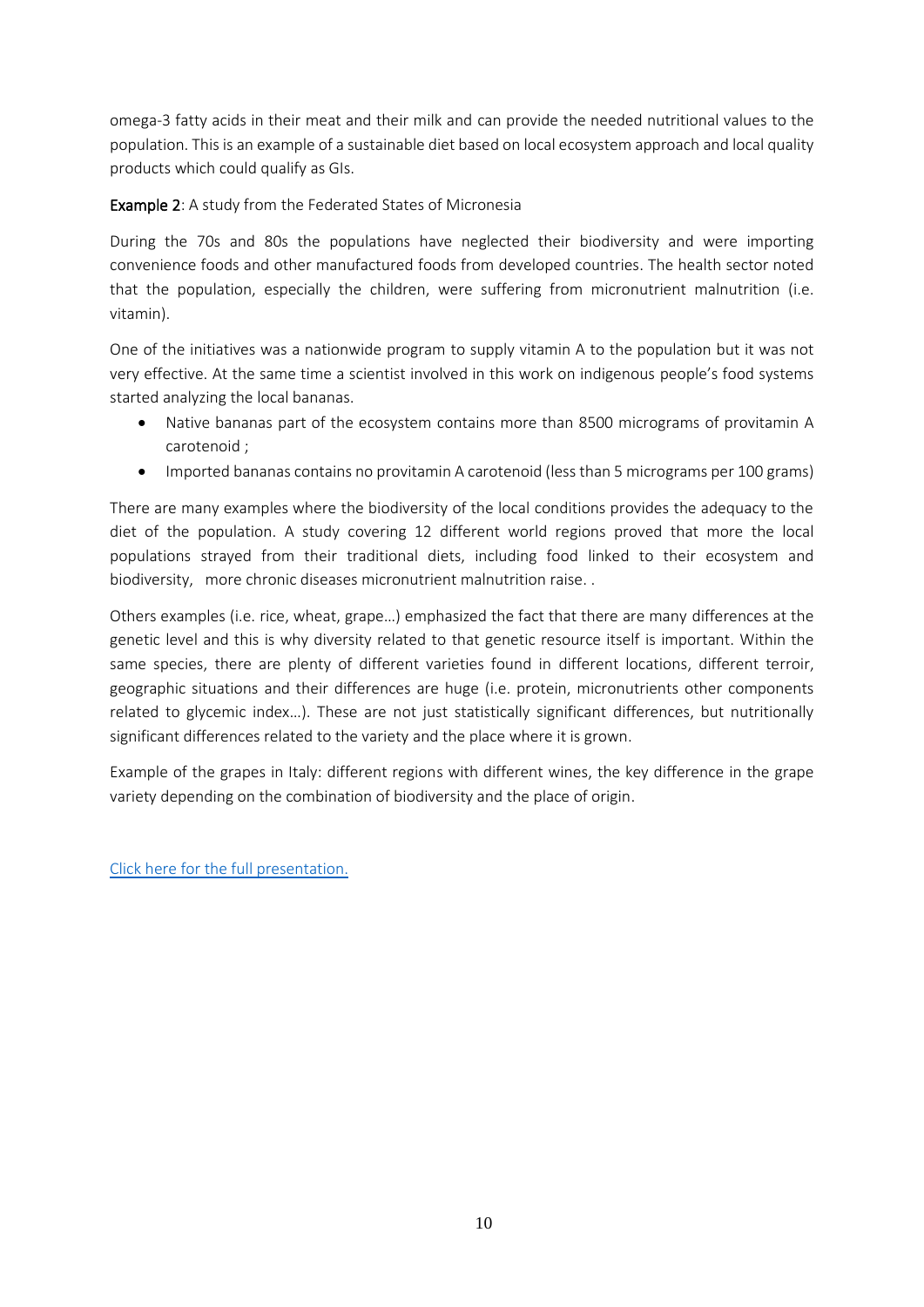omega-3 fatty acids in their meat and their milk and can provide the needed nutritional values to the population. This is an example of a sustainable diet based on local ecosystem approach and local quality products which could qualify as GIs.

Example 2: A study from the Federated States of Micronesia

During the 70s and 80s the populations have neglected their biodiversity and were importing convenience foods and other manufactured foods from developed countries. The health sector noted that the population, especially the children, were suffering from micronutrient malnutrition (i.e. vitamin).

One of the initiatives was a nationwide program to supply vitamin A to the population but it was not very effective. At the same time a scientist involved in this work on indigenous people's food systems started analyzing the local bananas.

- Native bananas part of the ecosystem contains more than 8500 micrograms of provitamin A carotenoid ;
- Imported bananas contains no provitamin A carotenoid (less than 5 micrograms per 100 grams)

There are many examples where the biodiversity of the local conditions provides the adequacy to the diet of the population. A study covering 12 different world regions proved that more the local populations strayed from their traditional diets, including food linked to their ecosystem and biodiversity, more chronic diseases micronutrient malnutrition raise. .

Others examples (i.e. rice, wheat, grape…) emphasized the fact that there are many differences at the genetic level and this is why diversity related to that genetic resource itself is important. Within the same species, there are plenty of different varieties found in different locations, different terroir, geographic situations and their differences are huge (i.e. protein, micronutrients other components related to glycemic index…). These are not just statistically significant differences, but nutritionally significant differences related to the variety and the place where it is grown.

Example of the grapes in Italy: different regions with different wines, the key difference in the grape variety depending on the combination of biodiversity and the place of origin.

[Click here for the full presentation.](https://www.origin-gi.com/images/stories/PDFs/English/PPT/oriGIn-FAO_Series_of_webinars_2020-PPT/Barbara_Burlingame-PPT_Geographic_indications.pdf)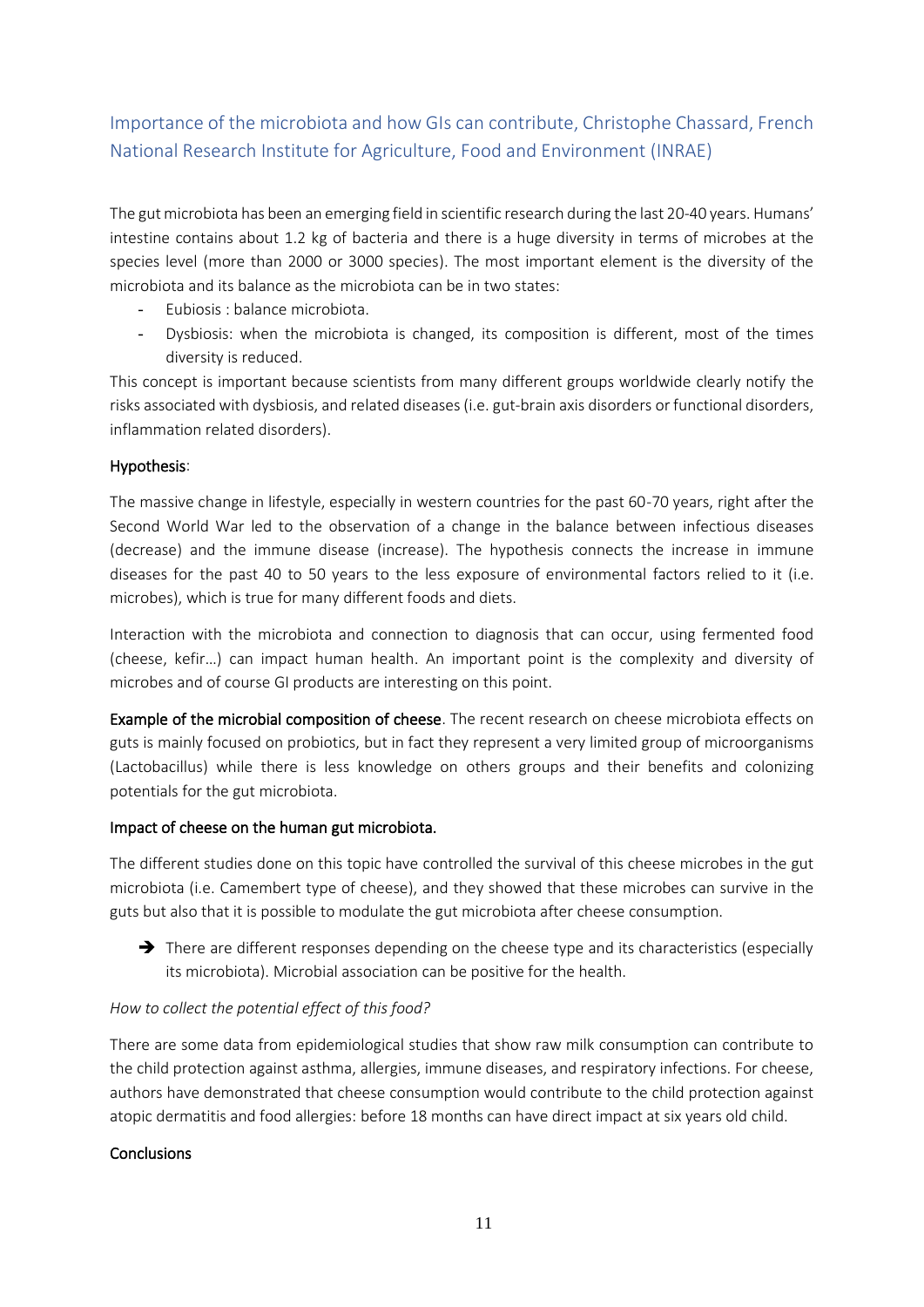### <span id="page-10-0"></span>Importance of the microbiota and how GIs can contribute, Christophe Chassard, French National Research Institute for Agriculture, Food and Environment (INRAE)

The gut microbiota has been an emerging field in scientific research during the last 20-40 years. Humans' intestine contains about 1.2 kg of bacteria and there is a huge diversity in terms of microbes at the species level (more than 2000 or 3000 species). The most important element is the diversity of the microbiota and its balance as the microbiota can be in two states:

- Eubiosis : balance microbiota.
- Dysbiosis: when the microbiota is changed, its composition is different, most of the times diversity is reduced.

This concept is important because scientists from many different groups worldwide clearly notify the risks associated with dysbiosis, and related diseases (i.e. gut-brain axis disorders or functional disorders, inflammation related disorders).

#### Hypothesis:

The massive change in lifestyle, especially in western countries for the past 60-70 years, right after the Second World War led to the observation of a change in the balance between infectious diseases (decrease) and the immune disease (increase). The hypothesis connects the increase in immune diseases for the past 40 to 50 years to the less exposure of environmental factors relied to it (i.e. microbes), which is true for many different foods and diets.

Interaction with the microbiota and connection to diagnosis that can occur, using fermented food (cheese, kefir…) can impact human health. An important point is the complexity and diversity of microbes and of course GI products are interesting on this point.

Example of the microbial composition of cheese. The recent research on cheese microbiota effects on guts is mainly focused on probiotics, but in fact they represent a very limited group of microorganisms (Lactobacillus) while there is less knowledge on others groups and their benefits and colonizing potentials for the gut microbiota.

#### Impact of cheese on the human gut microbiota.

The different studies done on this topic have controlled the survival of this cheese microbes in the gut microbiota (i.e. Camembert type of cheese), and they showed that these microbes can survive in the guts but also that it is possible to modulate the gut microbiota after cheese consumption.

→ There are different responses depending on the cheese type and its characteristics (especially its microbiota). Microbial association can be positive for the health.

#### *How to collect the potential effect of this food?*

There are some data from epidemiological studies that show raw milk consumption can contribute to the child protection against asthma, allergies, immune diseases, and respiratory infections. For cheese, authors have demonstrated that cheese consumption would contribute to the child protection against atopic dermatitis and food allergies: before 18 months can have direct impact at six years old child.

#### **Conclusions**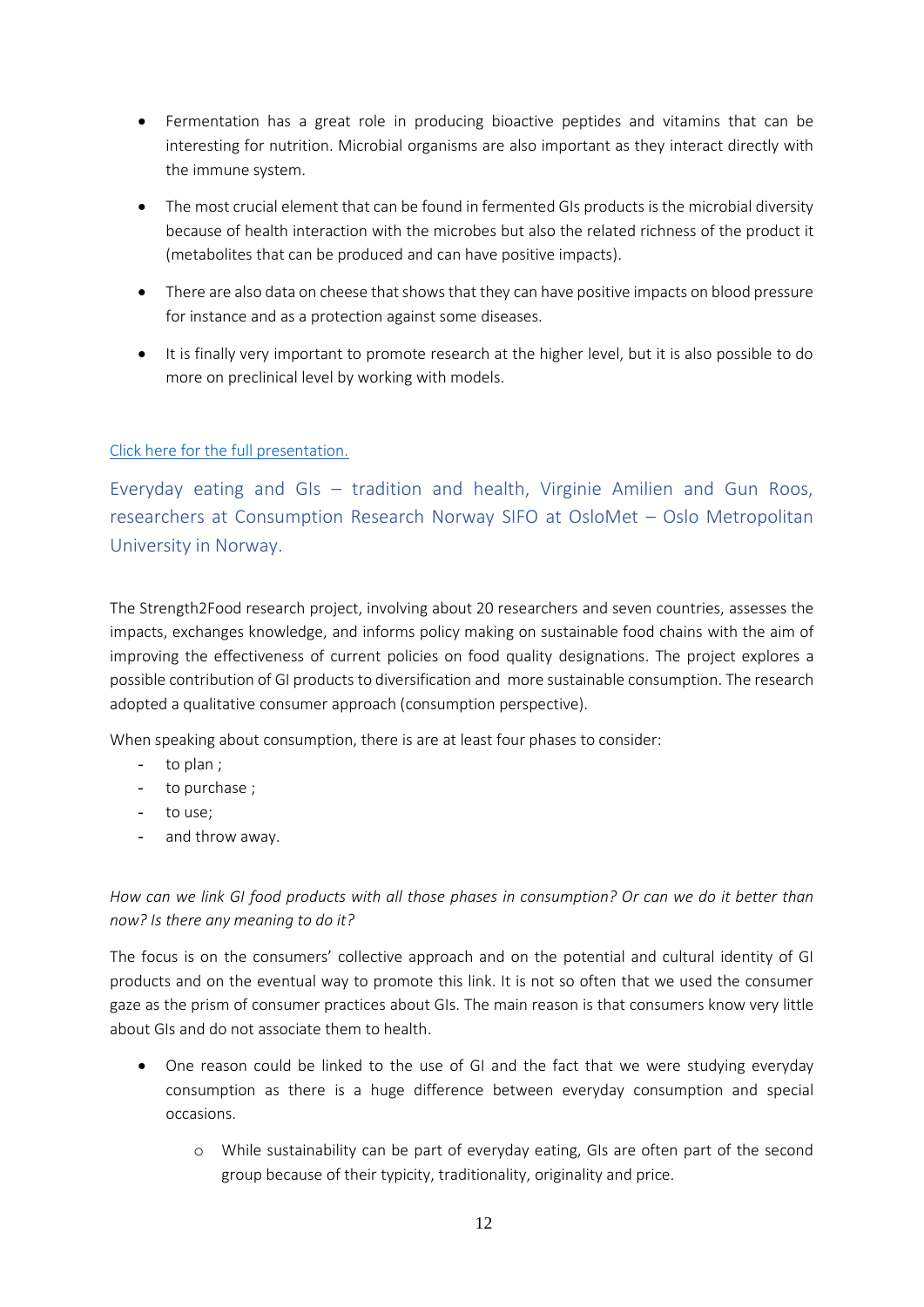- Fermentation has a great role in producing bioactive peptides and vitamins that can be interesting for nutrition. Microbial organisms are also important as they interact directly with the immune system.
- The most crucial element that can be found in fermented GIs products is the microbial diversity because of health interaction with the microbes but also the related richness of the product it (metabolites that can be produced and can have positive impacts).
- There are also data on cheese that shows that they can have positive impacts on blood pressure for instance and as a protection against some diseases.
- It is finally very important to promote research at the higher level, but it is also possible to do more on preclinical level by working with models.

#### [Click here for the full presentation.](https://www.origin-gi.com/images/stories/PDFs/English/PPT/oriGIn-FAO_Series_of_webinars_2020-PPT/Christophe_Chassard_-Pr%C3%A9sentation_Webinar_FAO-16112020_last.pdf)

<span id="page-11-0"></span>Everyday eating and GIs – tradition and health, Virginie Amilien and Gun Roos, researchers at Consumption Research Norway SIFO at OsloMet – Oslo Metropolitan University in Norway.

The Strength2Food research project, involving about 20 researchers and seven countries, assesses the impacts, exchanges knowledge, and informs policy making on sustainable food chains with the aim of improving the effectiveness of current policies on food quality designations. The project explores a possible contribution of GI products to diversification and more sustainable consumption. The research adopted a qualitative consumer approach (consumption perspective).

When speaking about consumption, there is are at least four phases to consider:

- to plan ;
- to purchase ;
- to use;
- and throw away.

#### *How can we link GI food products with all those phases in consumption? Or can we do it better than now? Is there any meaning to do it?*

The focus is on the consumers' collective approach and on the potential and cultural identity of GI products and on the eventual way to promote this link. It is not so often that we used the consumer gaze as the prism of consumer practices about GIs. The main reason is that consumers know very little about GIs and do not associate them to health.

- One reason could be linked to the use of GI and the fact that we were studying everyday consumption as there is a huge difference between everyday consumption and special occasions.
	- o While sustainability can be part of everyday eating, GIs are often part of the second group because of their typicity, traditionality, originality and price.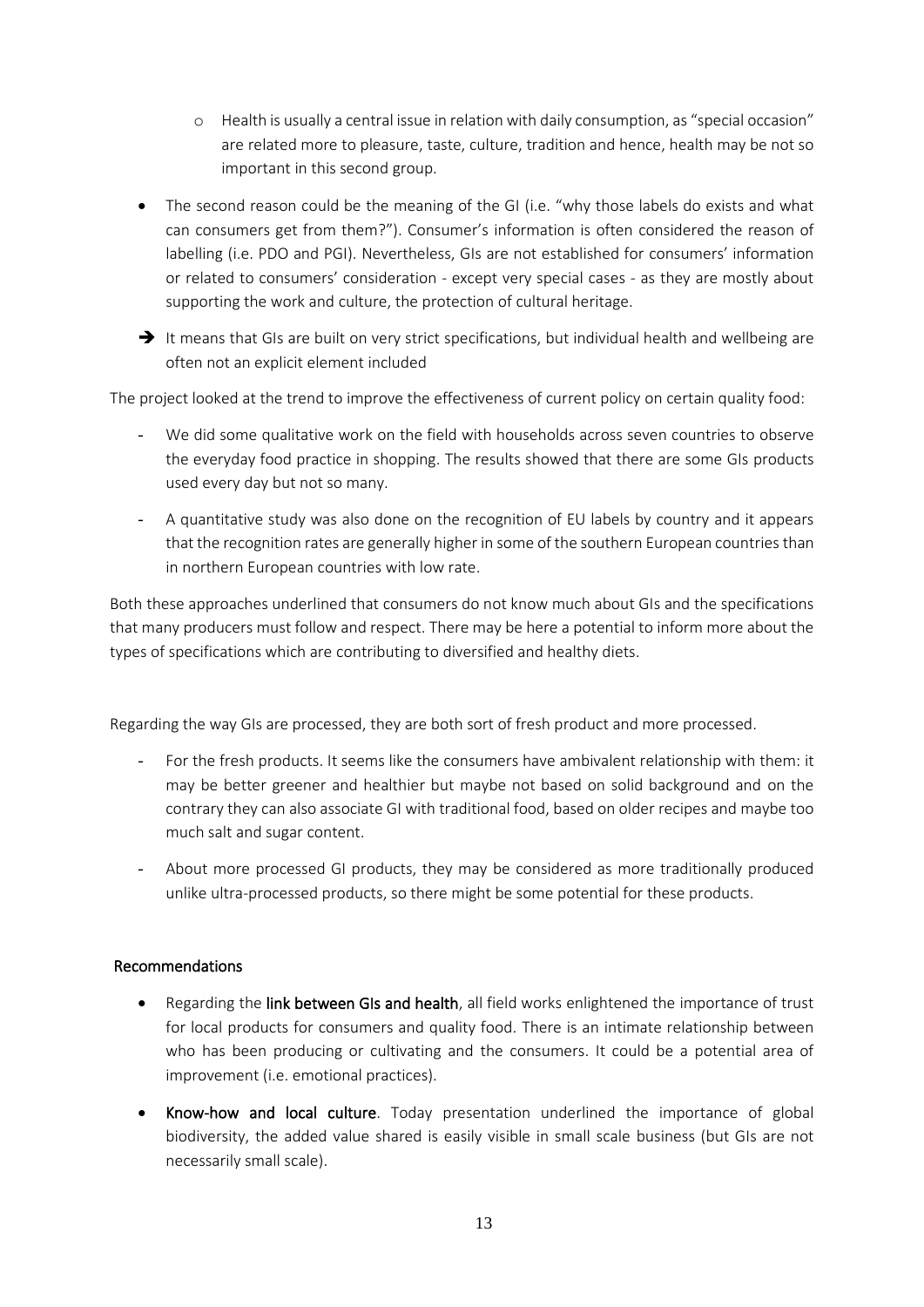- o Health is usually a central issue in relation with daily consumption, as "special occasion" are related more to pleasure, taste, culture, tradition and hence, health may be not so important in this second group.
- The second reason could be the meaning of the GI (i.e. "why those labels do exists and what can consumers get from them?"). Consumer's information is often considered the reason of labelling (i.e. PDO and PGI). Nevertheless, GIs are not established for consumers' information or related to consumers' consideration - except very special cases - as they are mostly about supporting the work and culture, the protection of cultural heritage.
- → It means that GIs are built on very strict specifications, but individual health and wellbeing are often not an explicit element included

The project looked at the trend to improve the effectiveness of current policy on certain quality food:

- We did some qualitative work on the field with households across seven countries to observe the everyday food practice in shopping. The results showed that there are some GIs products used every day but not so many.
- A quantitative study was also done on the recognition of EU labels by country and it appears that the recognition rates are generally higher in some of the southern European countriesthan in northern European countries with low rate.

Both these approaches underlined that consumers do not know much about GIs and the specifications that many producers must follow and respect. There may be here a potential to inform more about the types of specifications which are contributing to diversified and healthy diets.

Regarding the way GIs are processed, they are both sort of fresh product and more processed.

- For the fresh products. It seems like the consumers have ambivalent relationship with them: it may be better greener and healthier but maybe not based on solid background and on the contrary they can also associate GI with traditional food, based on older recipes and maybe too much salt and sugar content.
- About more processed GI products, they may be considered as more traditionally produced unlike ultra-processed products, so there might be some potential for these products.

#### Recommendations

- Regarding the link between GIs and health, all field works enlightened the importance of trust for local products for consumers and quality food. There is an intimate relationship between who has been producing or cultivating and the consumers. It could be a potential area of improvement (i.e. emotional practices).
- Know-how and local culture. Today presentation underlined the importance of global biodiversity, the added value shared is easily visible in small scale business (but GIs are not necessarily small scale).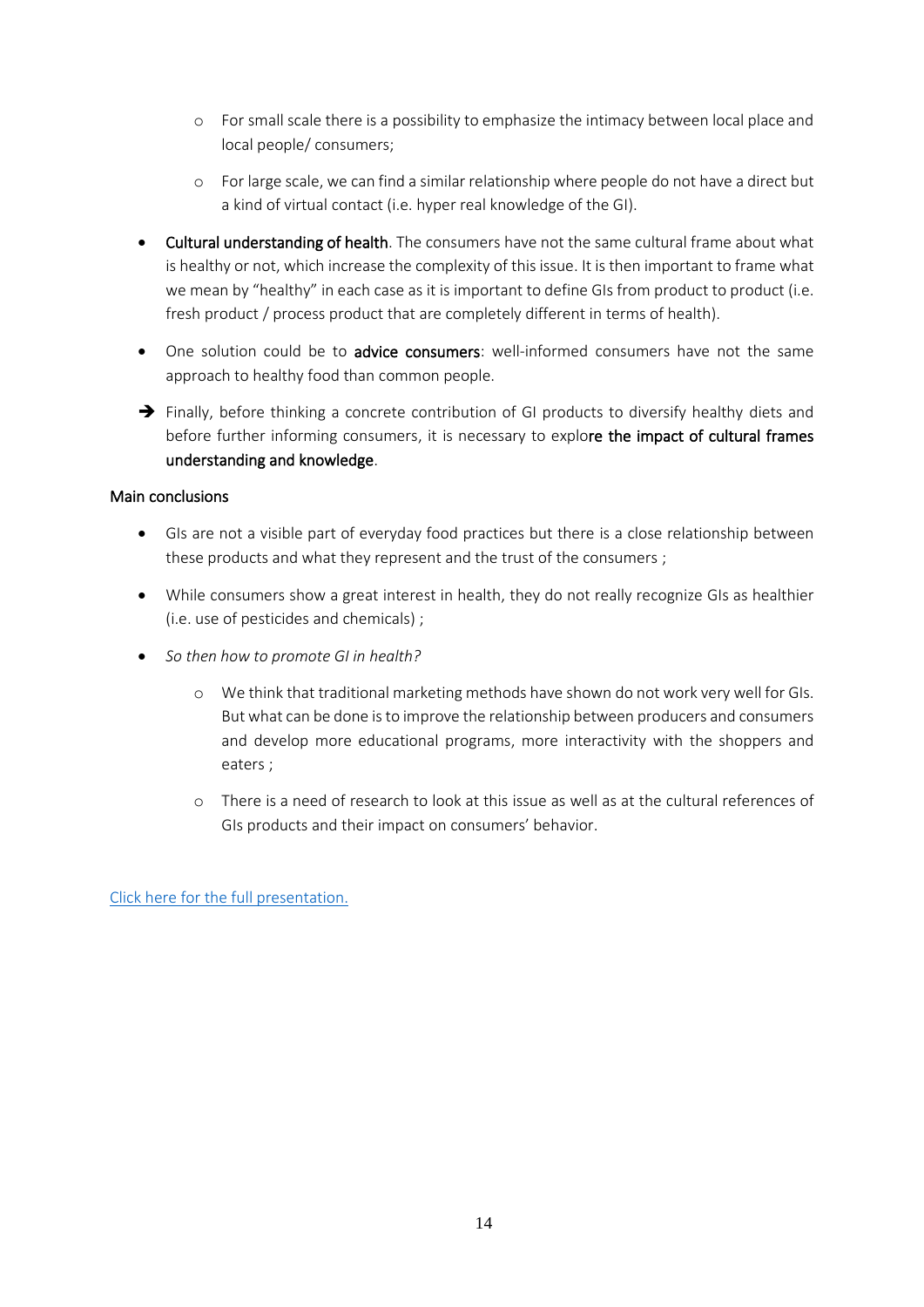- o For small scale there is a possibility to emphasize the intimacy between local place and local people/ consumers;
- o For large scale, we can find a similar relationship where people do not have a direct but a kind of virtual contact (i.e. hyper real knowledge of the GI).
- Cultural understanding of health. The consumers have not the same cultural frame about what is healthy or not, which increase the complexity of this issue. It is then important to frame what we mean by "healthy" in each case as it is important to define GIs from product to product (i.e. fresh product / process product that are completely different in terms of health).
- One solution could be to advice consumers: well-informed consumers have not the same approach to healthy food than common people.
- → Finally, before thinking a concrete contribution of GI products to diversify healthy diets and before further informing consumers, it is necessary to explore the impact of cultural frames understanding and knowledge.

#### Main conclusions

- GIs are not a visible part of everyday food practices but there is a close relationship between these products and what they represent and the trust of the consumers ;
- While consumers show a great interest in health, they do not really recognize GIs as healthier (i.e. use of pesticides and chemicals) ;
- *So then how to promote GI in health?* 
	- o We think that traditional marketing methods have shown do not work very well for GIs. But what can be done is to improve the relationship between producers and consumers and develop more educational programs, more interactivity with the shoppers and eaters ;
	- o There is a need of research to look at this issue as well as at the cultural references of GIs products and their impact on consumers' behavior.

[Click here for the full presentation.](https://www.origin-gi.com/images/stories/PDFs/English/PPT/oriGIn-FAO_Series_of_webinars_2020-PPT/Amilien_Roos_FAO_201118_1.pdf)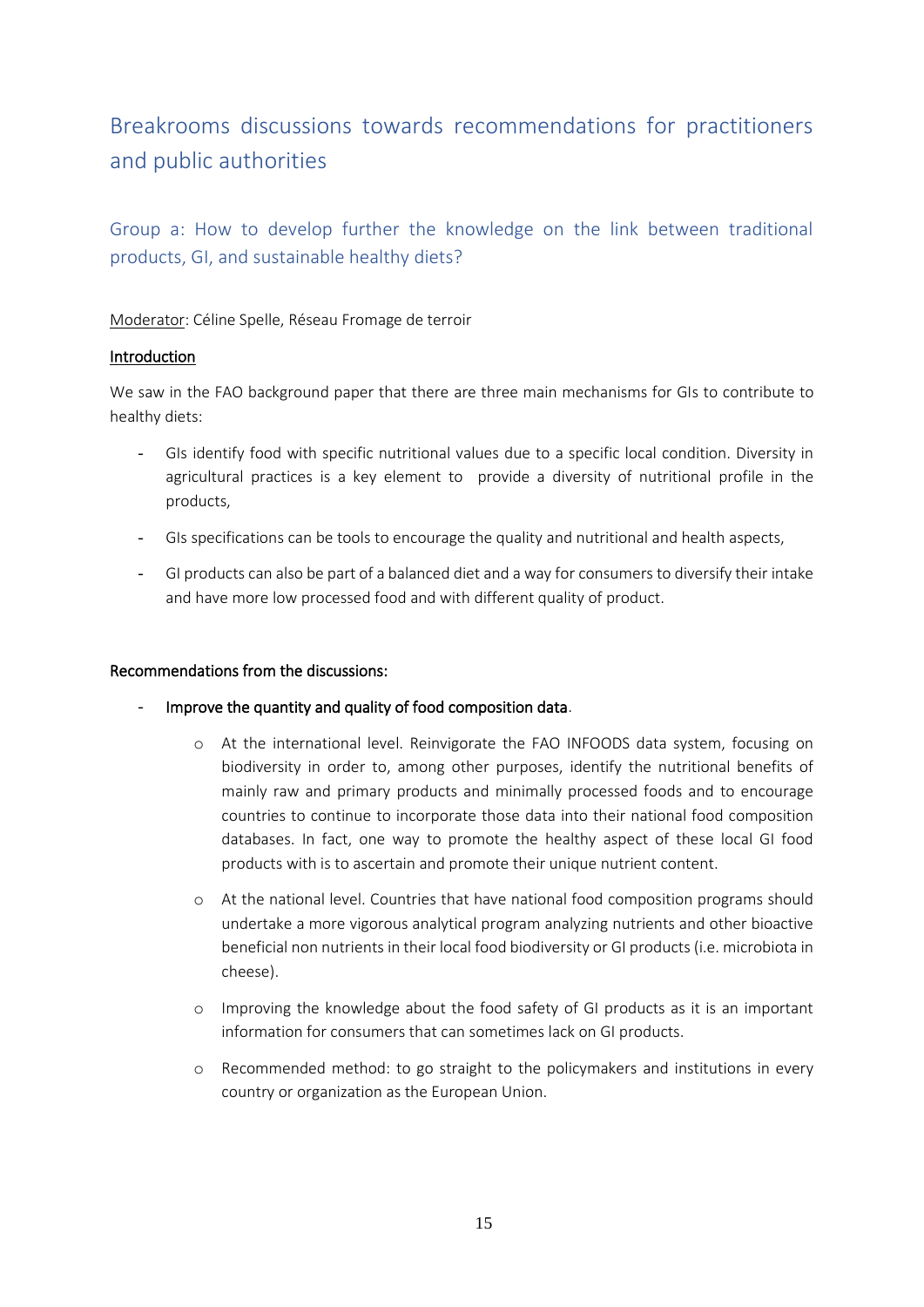## <span id="page-14-0"></span>Breakrooms discussions towards recommendations for practitioners and public authorities

<span id="page-14-1"></span>Group a: How to develop further the knowledge on the link between traditional products, GI, and sustainable healthy diets?

Moderator: Céline Spelle, Réseau Fromage de terroir

#### Introduction

We saw in the FAO background paper that there are three main mechanisms for GIs to contribute to healthy diets:

- GIs identify food with specific nutritional values due to a specific local condition. Diversity in agricultural practices is a key element to provide a diversity of nutritional profile in the products,
- GIs specifications can be tools to encourage the quality and nutritional and health aspects,
- GI products can also be part of a balanced diet and a way for consumers to diversify their intake and have more low processed food and with different quality of product.

#### Recommendations from the discussions:

- Improve the quantity and quality of food composition data.
	- o At the international level. Reinvigorate the FAO INFOODS data system, focusing on biodiversity in order to, among other purposes, identify the nutritional benefits of mainly raw and primary products and minimally processed foods and to encourage countries to continue to incorporate those data into their national food composition databases. In fact, one way to promote the healthy aspect of these local GI food products with is to ascertain and promote their unique nutrient content.
	- o At the national level. Countries that have national food composition programs should undertake a more vigorous analytical program analyzing nutrients and other bioactive beneficial non nutrients in their local food biodiversity or GI products (i.e. microbiota in cheese).
	- o Improving the knowledge about the food safety of GI products as it is an important information for consumers that can sometimes lack on GI products.
	- o Recommended method: to go straight to the policymakers and institutions in every country or organization as the European Union.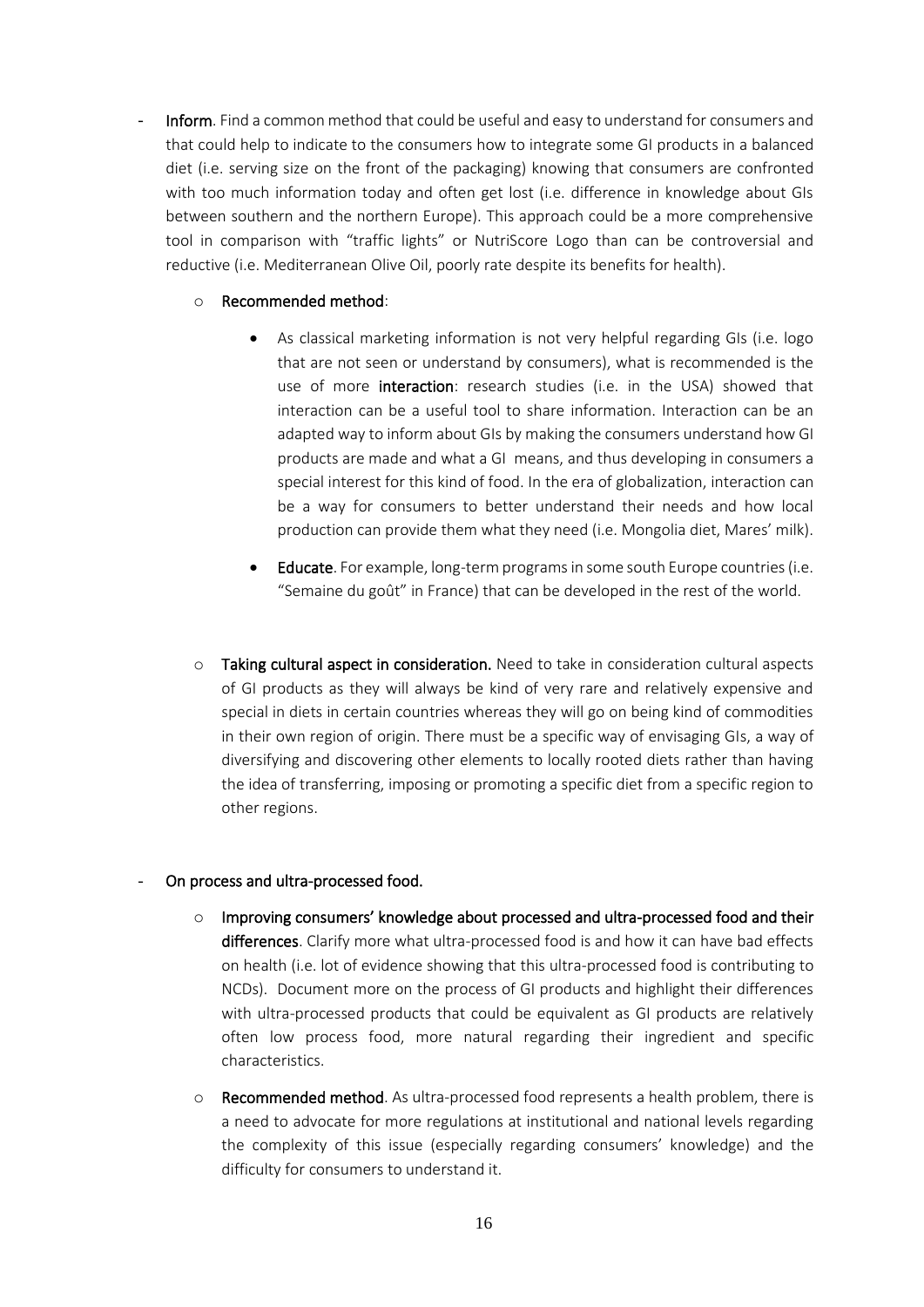Inform. Find a common method that could be useful and easy to understand for consumers and that could help to indicate to the consumers how to integrate some GI products in a balanced diet (i.e. serving size on the front of the packaging) knowing that consumers are confronted with too much information today and often get lost (i.e. difference in knowledge about GIs between southern and the northern Europe). This approach could be a more comprehensive tool in comparison with "traffic lights" or NutriScore Logo than can be controversial and reductive (i.e. Mediterranean Olive Oil, poorly rate despite its benefits for health).

#### o Recommended method:

- As classical marketing information is not very helpful regarding GIs (i.e. logo that are not seen or understand by consumers), what is recommended is the use of more interaction: research studies (i.e. in the USA) showed that interaction can be a useful tool to share information. Interaction can be an adapted way to inform about GIs by making the consumers understand how GI products are made and what a GI means, and thus developing in consumers a special interest for this kind of food. In the era of globalization, interaction can be a way for consumers to better understand their needs and how local production can provide them what they need (i.e. Mongolia diet, Mares' milk).
- Educate. For example, long-term programs in some south Europe countries (i.e. "Semaine du goût" in France) that can be developed in the rest of the world.
- o Taking cultural aspect in consideration. Need to take in consideration cultural aspects of GI products as they will always be kind of very rare and relatively expensive and special in diets in certain countries whereas they will go on being kind of commodities in their own region of origin. There must be a specific way of envisaging GIs, a way of diversifying and discovering other elements to locally rooted diets rather than having the idea of transferring, imposing or promoting a specific diet from a specific region to other regions.

#### On process and ultra-processed food.

- $\circ$  Improving consumers' knowledge about processed and ultra-processed food and their differences. Clarify more what ultra-processed food is and how it can have bad effects on health (i.e. lot of evidence showing that this ultra-processed food is contributing to NCDs). Document more on the process of GI products and highlight their differences with ultra-processed products that could be equivalent as GI products are relatively often low process food, more natural regarding their ingredient and specific characteristics.
- $\circ$  Recommended method. As ultra-processed food represents a health problem, there is a need to advocate for more regulations at institutional and national levels regarding the complexity of this issue (especially regarding consumers' knowledge) and the difficulty for consumers to understand it.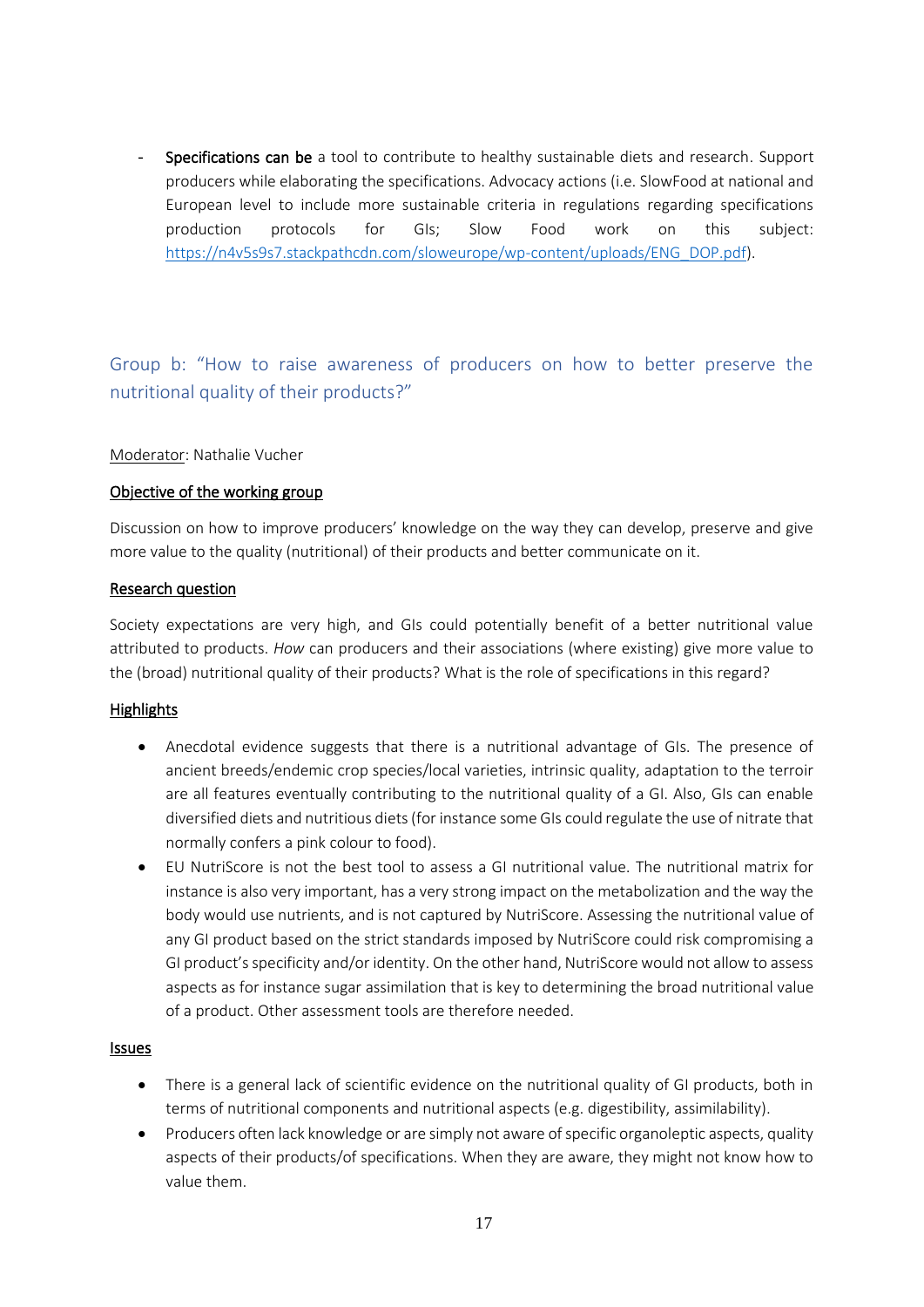Specifications can be a tool to contribute to healthy sustainable diets and research. Support producers while elaborating the specifications. Advocacy actions (i.e. SlowFood at national and European level to include more sustainable criteria in regulations regarding specifications production protocols for GIs; Slow Food work on this subject: [https://n4v5s9s7.stackpathcdn.com/sloweurope/wp-content/uploads/ENG\\_DOP.pdf\)](about:blank).

<span id="page-16-0"></span>Group b: "How to raise awareness of producers on how to better preserve the nutritional quality of their products?"

#### Moderator: Nathalie Vucher

#### Objective of the working group

Discussion on how to improve producers' knowledge on the way they can develop, preserve and give more value to the quality (nutritional) of their products and better communicate on it.

#### Research question

Society expectations are very high, and GIs could potentially benefit of a better nutritional value attributed to products. *How* can producers and their associations (where existing) give more value to the (broad) nutritional quality of their products? What is the role of specifications in this regard?

#### **Highlights**

- Anecdotal evidence suggests that there is a nutritional advantage of GIs. The presence of ancient breeds/endemic crop species/local varieties, intrinsic quality, adaptation to the terroir are all features eventually contributing to the nutritional quality of a GI. Also, GIs can enable diversified diets and nutritious diets (for instance some GIs could regulate the use of nitrate that normally confers a pink colour to food).
- EU NutriScore is not the best tool to assess a GI nutritional value. The nutritional matrix for instance is also very important, has a very strong impact on the metabolization and the way the body would use nutrients, and is not captured by NutriScore. Assessing the nutritional value of any GI product based on the strict standards imposed by NutriScore could risk compromising a GI product's specificity and/or identity. On the other hand, NutriScore would not allow to assess aspects as for instance sugar assimilation that is key to determining the broad nutritional value of a product. Other assessment tools are therefore needed.

#### Issues

- There is a general lack of scientific evidence on the nutritional quality of GI products, both in terms of nutritional components and nutritional aspects (e.g. digestibility, assimilability).
- Producers often lack knowledge or are simply not aware of specific organoleptic aspects, quality aspects of their products/of specifications. When they are aware, they might not know how to value them.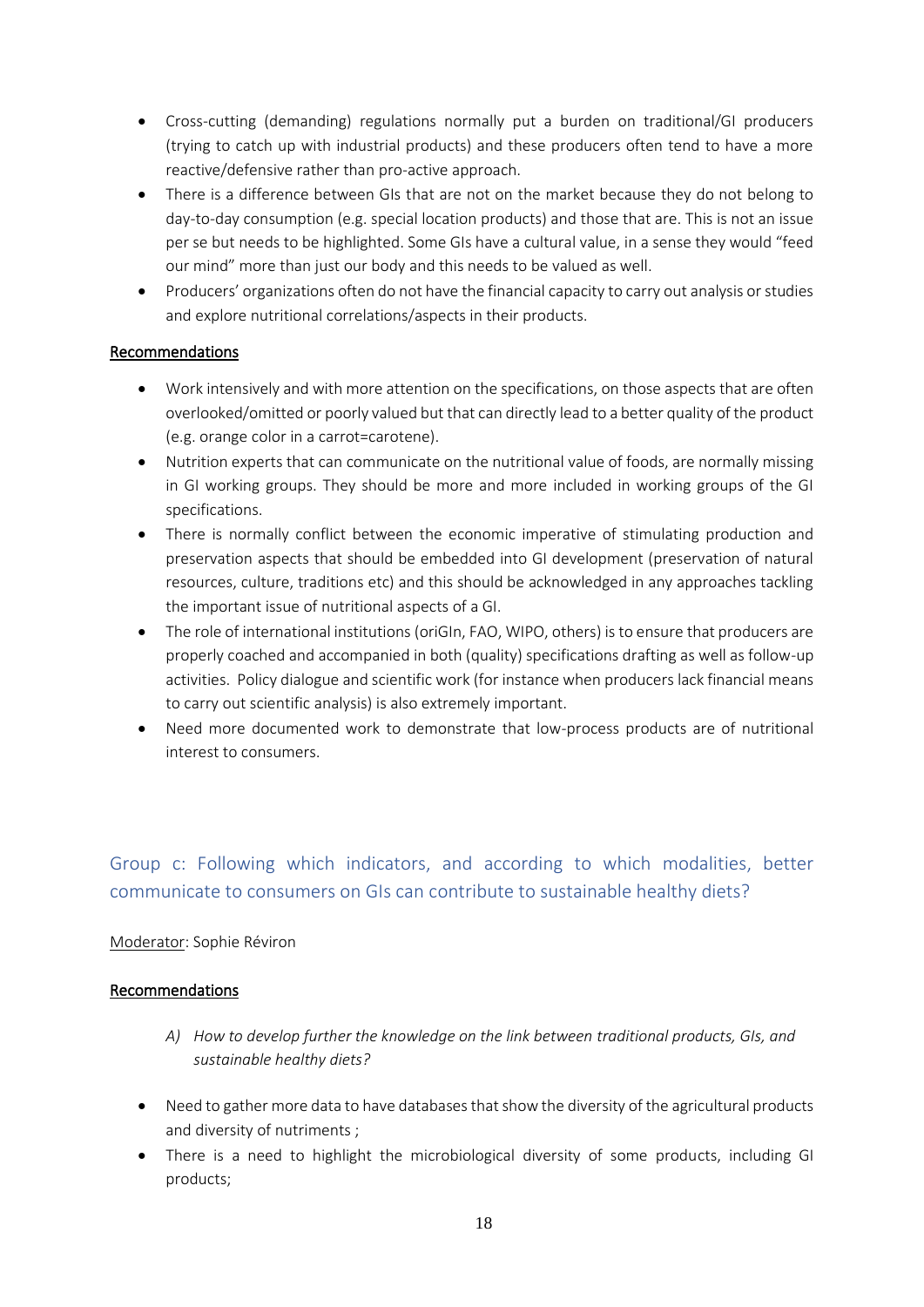- Cross-cutting (demanding) regulations normally put a burden on traditional/GI producers (trying to catch up with industrial products) and these producers often tend to have a more reactive/defensive rather than pro-active approach.
- There is a difference between GIs that are not on the market because they do not belong to day-to-day consumption (e.g. special location products) and those that are. This is not an issue per se but needs to be highlighted. Some GIs have a cultural value, in a sense they would "feed our mind" more than just our body and this needs to be valued as well.
- Producers' organizations often do not have the financial capacity to carry out analysis or studies and explore nutritional correlations/aspects in their products.

#### Recommendations

- Work intensively and with more attention on the specifications, on those aspects that are often overlooked/omitted or poorly valued but that can directly lead to a better quality of the product (e.g. orange color in a carrot=carotene).
- Nutrition experts that can communicate on the nutritional value of foods, are normally missing in GI working groups. They should be more and more included in working groups of the GI specifications.
- There is normally conflict between the economic imperative of stimulating production and preservation aspects that should be embedded into GI development (preservation of natural resources, culture, traditions etc) and this should be acknowledged in any approaches tackling the important issue of nutritional aspects of a GI.
- The role of international institutions (oriGIn, FAO, WIPO, others) is to ensure that producers are properly coached and accompanied in both (quality) specifications drafting as well as follow-up activities. Policy dialogue and scientific work (for instance when producers lack financial means to carry out scientific analysis) is also extremely important.
- Need more documented work to demonstrate that low-process products are of nutritional interest to consumers.

## <span id="page-17-0"></span>Group c: Following which indicators, and according to which modalities, better communicate to consumers on GIs can contribute to sustainable healthy diets?

#### Moderator: Sophie Réviron

#### **Recommendations**

- *A) How to develop further the knowledge on the link between traditional products, GIs, and sustainable healthy diets?*
- Need to gather more data to have databases that show the diversity of the agricultural products and diversity of nutriments ;
- There is a need to highlight the microbiological diversity of some products, including GI products;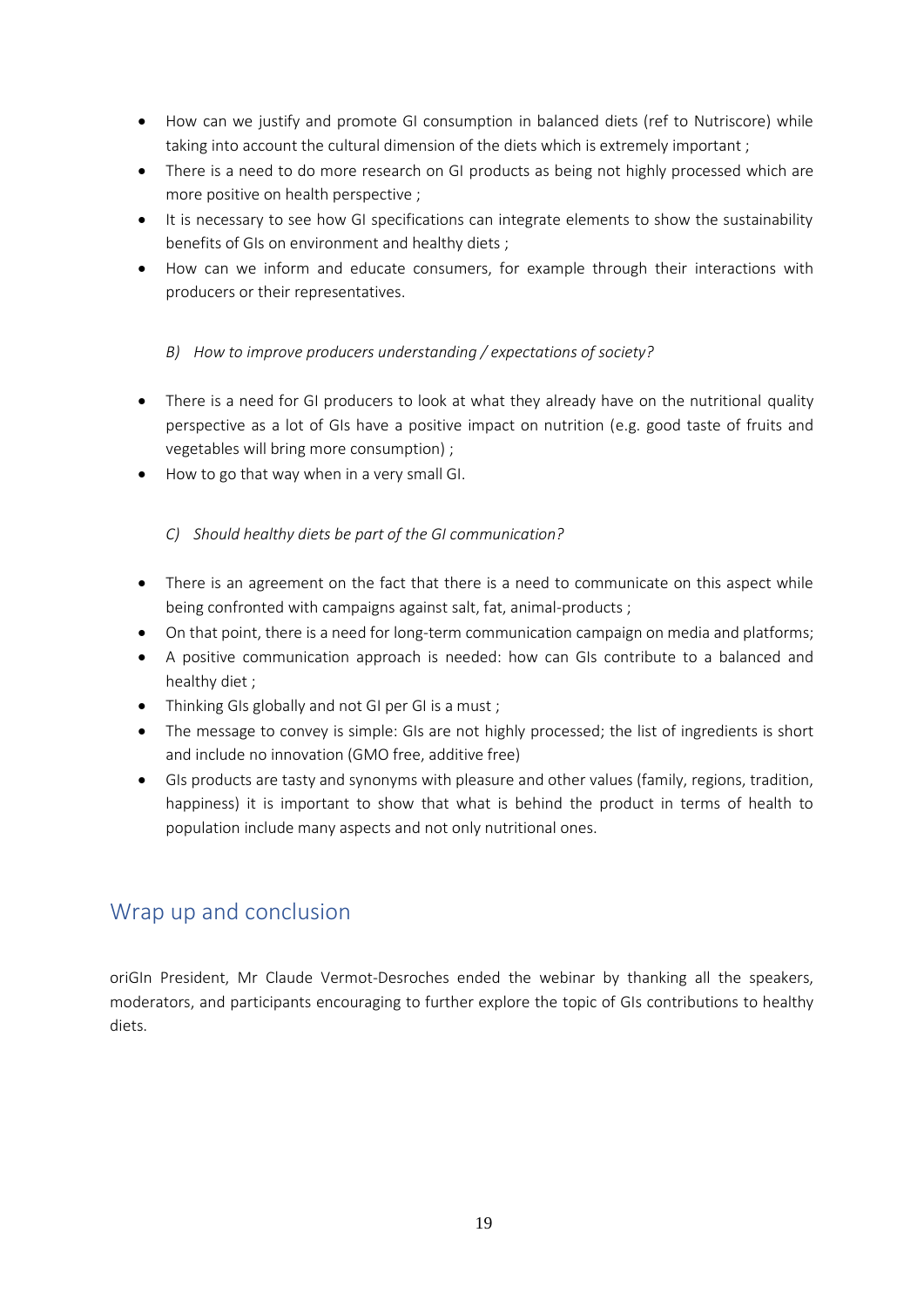- How can we justify and promote GI consumption in balanced diets (ref to Nutriscore) while taking into account the cultural dimension of the diets which is extremely important ;
- There is a need to do more research on GI products as being not highly processed which are more positive on health perspective ;
- It is necessary to see how GI specifications can integrate elements to show the sustainability benefits of GIs on environment and healthy diets ;
- How can we inform and educate consumers, for example through their interactions with producers or their representatives.
	- *B) How to improve producers understanding / expectations of society?*
- There is a need for GI producers to look at what they already have on the nutritional quality perspective as a lot of GIs have a positive impact on nutrition (e.g. good taste of fruits and vegetables will bring more consumption) ;
- How to go that way when in a very small GI.

#### *C) Should healthy diets be part of the GI communication?*

- There is an agreement on the fact that there is a need to communicate on this aspect while being confronted with campaigns against salt, fat, animal-products ;
- On that point, there is a need for long-term communication campaign on media and platforms;
- A positive communication approach is needed: how can GIs contribute to a balanced and healthy diet ;
- Thinking GIs globally and not GI per GI is a must ;
- The message to convey is simple: GIs are not highly processed; the list of ingredients is short and include no innovation (GMO free, additive free)
- GIs products are tasty and synonyms with pleasure and other values (family, regions, tradition, happiness) it is important to show that what is behind the product in terms of health to population include many aspects and not only nutritional ones.

### <span id="page-18-0"></span>Wrap up and conclusion

oriGIn President, Mr Claude Vermot-Desroches ended the webinar by thanking all the speakers, moderators, and participants encouraging to further explore the topic of GIs contributions to healthy diets.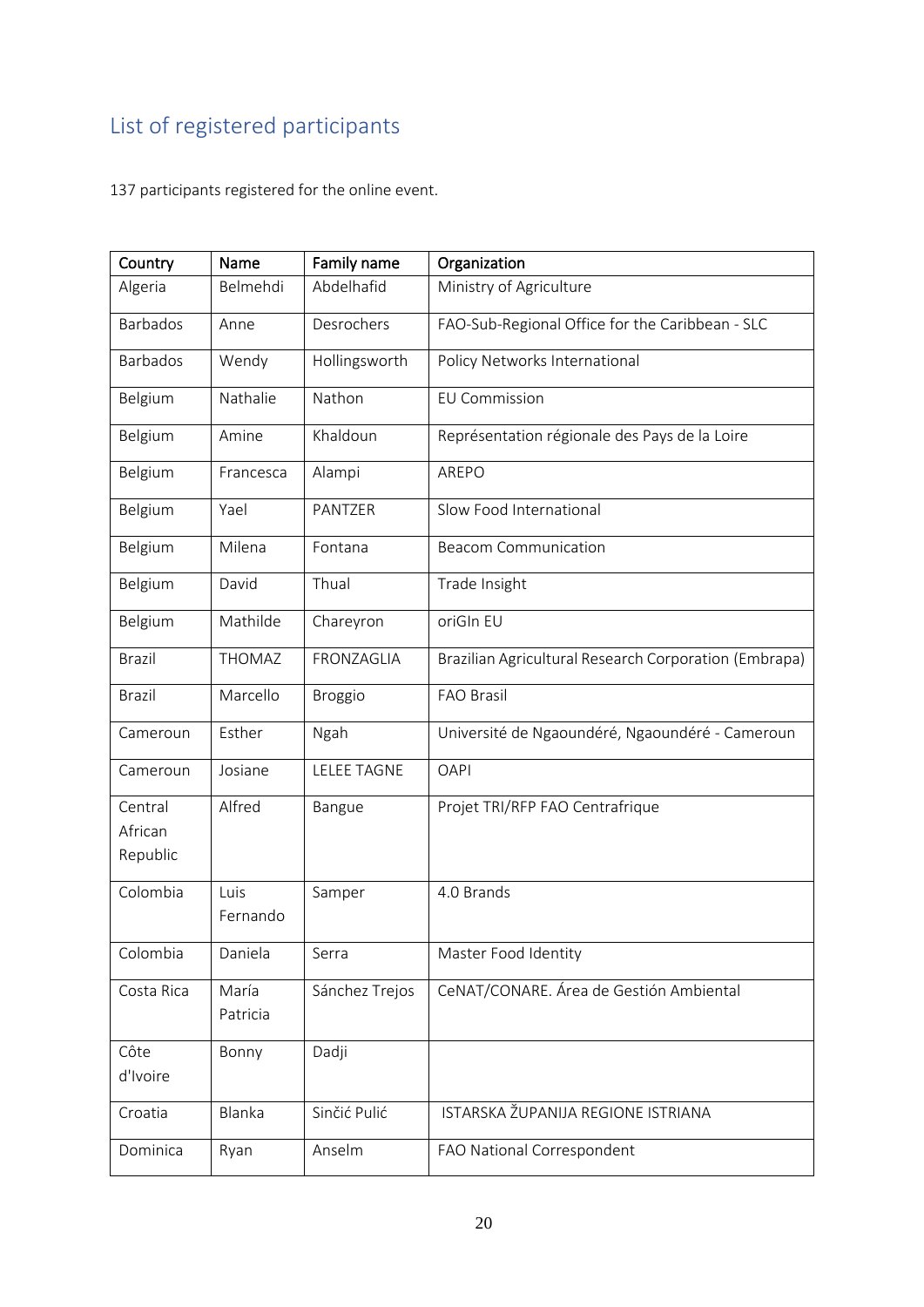## <span id="page-19-0"></span>List of registered participants

137 participants registered for the online event.

| Country            | Name              | Family name        | Organization                                          |
|--------------------|-------------------|--------------------|-------------------------------------------------------|
| Algeria            | Belmehdi          | Abdelhafid         | Ministry of Agriculture                               |
| <b>Barbados</b>    | Anne              | Desrochers         | FAO-Sub-Regional Office for the Caribbean - SLC       |
| <b>Barbados</b>    | Wendy             | Hollingsworth      | Policy Networks International                         |
| Belgium            | Nathalie          | Nathon             | <b>EU Commission</b>                                  |
| Belgium            | Amine             | Khaldoun           | Représentation régionale des Pays de la Loire         |
| Belgium            | Francesca         | Alampi             | AREPO                                                 |
| Belgium            | Yael              | PANTZER            | Slow Food International                               |
| Belgium            | Milena            | Fontana            | <b>Beacom Communication</b>                           |
| Belgium            | David             | Thual              | Trade Insight                                         |
| Belgium            | Mathilde          | Chareyron          | oriGIn EU                                             |
| <b>Brazil</b>      | THOMAZ            | FRONZAGLIA         | Brazilian Agricultural Research Corporation (Embrapa) |
| <b>Brazil</b>      | Marcello          | <b>Broggio</b>     | <b>FAO Brasil</b>                                     |
| Cameroun           | Esther            | Ngah               | Université de Ngaoundéré, Ngaoundéré - Cameroun       |
| Cameroun           | Josiane           | <b>LELEE TAGNE</b> | <b>OAPI</b>                                           |
| Central<br>African | Alfred            | Bangue             | Projet TRI/RFP FAO Centrafrique                       |
| Republic           |                   |                    |                                                       |
| Colombia           | Luis              | Samper             | 4.0 Brands                                            |
|                    | Fernando          |                    |                                                       |
| Colombia           | Daniela           | Serra              | Master Food Identity                                  |
| Costa Rica         | María<br>Patricia | Sánchez Trejos     | CeNAT/CONARE. Área de Gestión Ambiental               |
| Côte               | Bonny             | Dadji              |                                                       |
| d'Ivoire           |                   |                    |                                                       |
| Croatia            | Blanka            | Sinčić Pulić       | ISTARSKA ŽUPANIJA REGIONE ISTRIANA                    |
| Dominica           | Ryan              | Anselm             | FAO National Correspondent                            |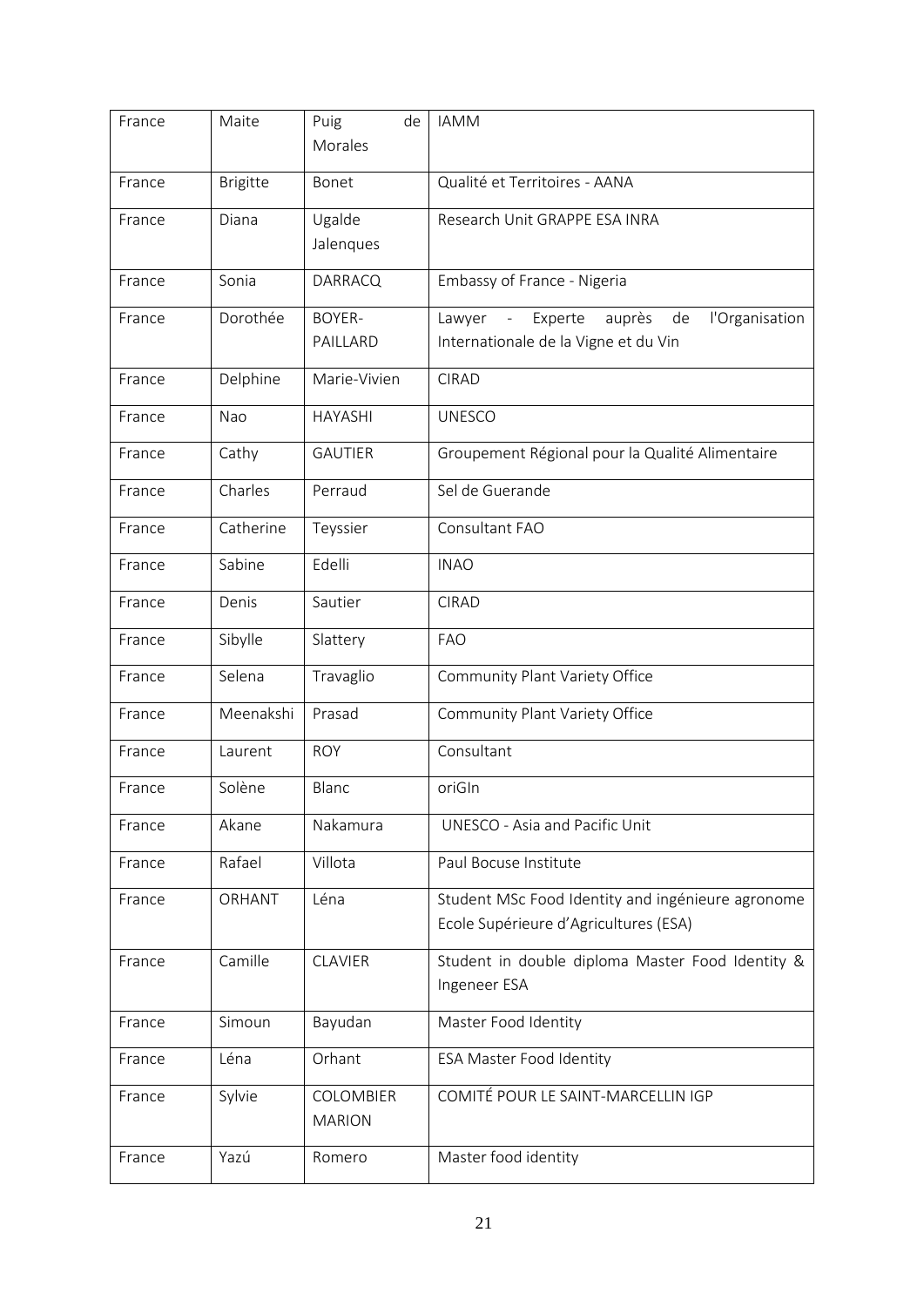| France | Maite           | Puig<br>de<br>Morales      | <b>IAMM</b>                                                                                                   |
|--------|-----------------|----------------------------|---------------------------------------------------------------------------------------------------------------|
| France | <b>Brigitte</b> | Bonet                      | Qualité et Territoires - AANA                                                                                 |
| France | Diana           | Ugalde<br>Jalenques        | Research Unit GRAPPE ESA INRA                                                                                 |
| France | Sonia           | <b>DARRACQ</b>             | Embassy of France - Nigeria                                                                                   |
| France | Dorothée        | <b>BOYER-</b><br>PAILLARD  | l'Organisation<br>Experte<br>auprès<br>de<br>Lawyer<br>$\blacksquare$<br>Internationale de la Vigne et du Vin |
| France | Delphine        | Marie-Vivien               | <b>CIRAD</b>                                                                                                  |
| France | Nao             | <b>HAYASHI</b>             | <b>UNESCO</b>                                                                                                 |
| France | Cathy           | <b>GAUTIER</b>             | Groupement Régional pour la Qualité Alimentaire                                                               |
| France | Charles         | Perraud                    | Sel de Guerande                                                                                               |
| France | Catherine       | Teyssier                   | Consultant FAO                                                                                                |
| France | Sabine          | Edelli                     | <b>INAO</b>                                                                                                   |
| France | Denis           | Sautier                    | <b>CIRAD</b>                                                                                                  |
| France | Sibylle         | Slattery                   | <b>FAO</b>                                                                                                    |
| France | Selena          | Travaglio                  | Community Plant Variety Office                                                                                |
| France | Meenakshi       | Prasad                     | Community Plant Variety Office                                                                                |
| France | Laurent         | <b>ROY</b>                 | Consultant                                                                                                    |
| France | Solène          | Blanc                      | oriGIn                                                                                                        |
| France | Akane           | Nakamura                   | UNESCO - Asia and Pacific Unit                                                                                |
| France | Rafael          | Villota                    | Paul Bocuse Institute                                                                                         |
| France | ORHANT          | Léna                       | Student MSc Food Identity and ingénieure agronome<br>Ecole Supérieure d'Agricultures (ESA)                    |
| France | Camille         | <b>CLAVIER</b>             | Student in double diploma Master Food Identity &<br>Ingeneer ESA                                              |
| France | Simoun          | Bayudan                    | Master Food Identity                                                                                          |
| France | Léna            | Orhant                     | <b>ESA Master Food Identity</b>                                                                               |
| France | Sylvie          | COLOMBIER<br><b>MARION</b> | COMITÉ POUR LE SAINT-MARCELLIN IGP                                                                            |
| France | Yazú            | Romero                     | Master food identity                                                                                          |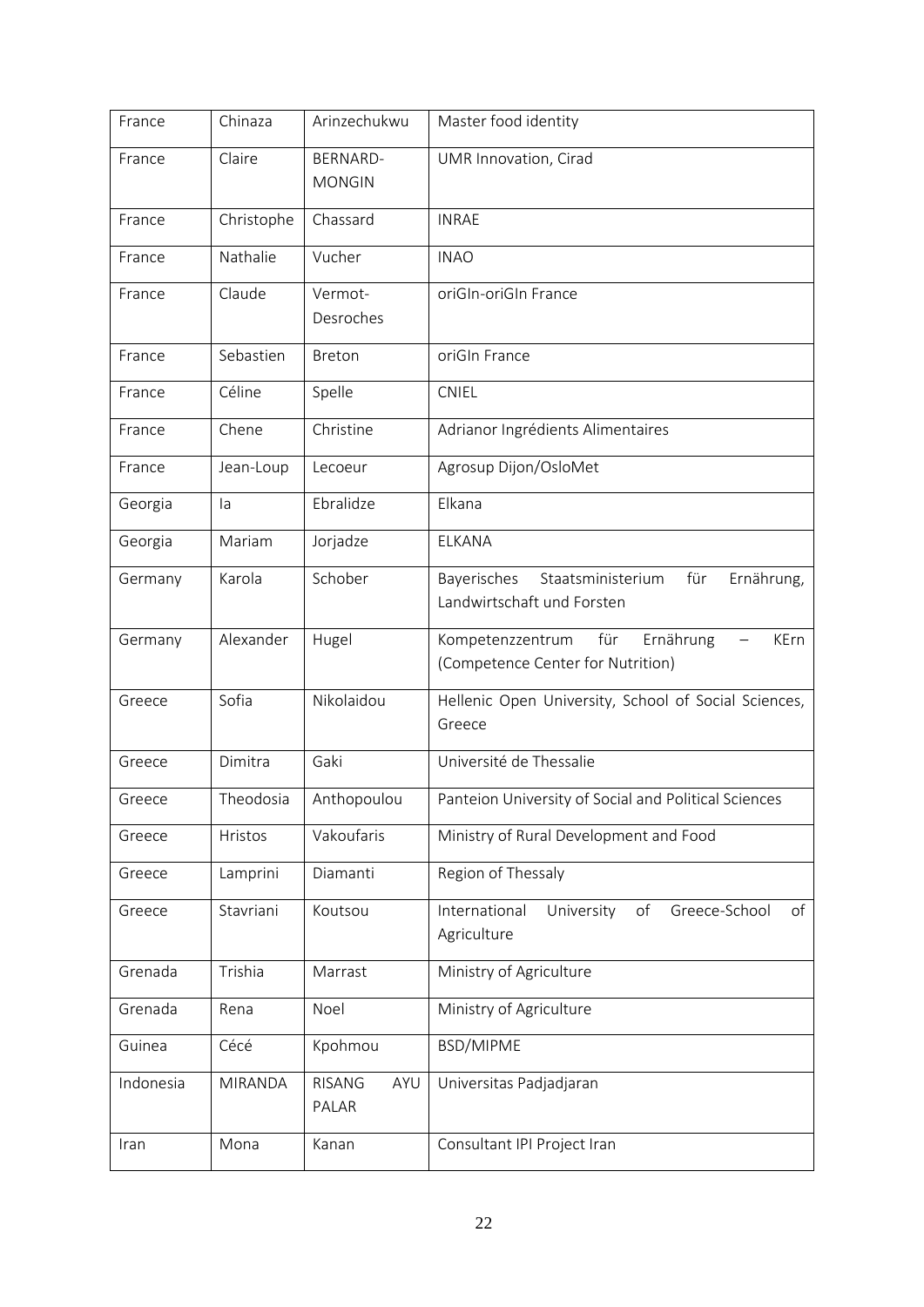| France    | Chinaza        | Arinzechukwu                  | Master food identity                                                                |
|-----------|----------------|-------------------------------|-------------------------------------------------------------------------------------|
| France    | Claire         | BERNARD-<br><b>MONGIN</b>     | UMR Innovation, Cirad                                                               |
| France    | Christophe     | Chassard                      | <b>INRAE</b>                                                                        |
| France    | Nathalie       | Vucher                        | <b>INAO</b>                                                                         |
| France    | Claude         | Vermot-<br>Desroches          | oriGIn-oriGIn France                                                                |
| France    | Sebastien      | Breton                        | oriGIn France                                                                       |
| France    | Céline         | Spelle                        | <b>CNIEL</b>                                                                        |
| France    | Chene          | Christine                     | Adrianor Ingrédients Alimentaires                                                   |
| France    | Jean-Loup      | Lecoeur                       | Agrosup Dijon/OsloMet                                                               |
| Georgia   | la             | Ebralidze                     | Elkana                                                                              |
| Georgia   | Mariam         | Jorjadze                      | ELKANA                                                                              |
| Germany   | Karola         | Schober                       | Staatsministerium<br>Ernährung,<br>Bayerisches<br>für<br>Landwirtschaft und Forsten |
| Germany   | Alexander      | Hugel                         | für<br>Ernährung<br>Kompetenzzentrum<br>KErn<br>(Competence Center for Nutrition)   |
| Greece    | Sofia          | Nikolaidou                    | Hellenic Open University, School of Social Sciences,<br>Greece                      |
| Greece    | Dimitra        | Gaki                          | Université de Thessalie                                                             |
| Greece    | Theodosia      | Anthopoulou                   | Panteion University of Social and Political Sciences                                |
| Greece    | Hristos        | Vakoufaris                    | Ministry of Rural Development and Food                                              |
| Greece    | Lamprini       | Diamanti                      | Region of Thessaly                                                                  |
| Greece    | Stavriani      | Koutsou                       | International<br>University<br>of<br>Greece-School<br>of<br>Agriculture             |
| Grenada   | Trishia        | Marrast                       | Ministry of Agriculture                                                             |
| Grenada   | Rena           | Noel                          | Ministry of Agriculture                                                             |
| Guinea    | Cécé           | Kpohmou                       | BSD/MIPME                                                                           |
| Indonesia | <b>MIRANDA</b> | <b>RISANG</b><br>AYU<br>PALAR | Universitas Padjadjaran                                                             |
| Iran      | Mona           | Kanan                         | Consultant IPI Project Iran                                                         |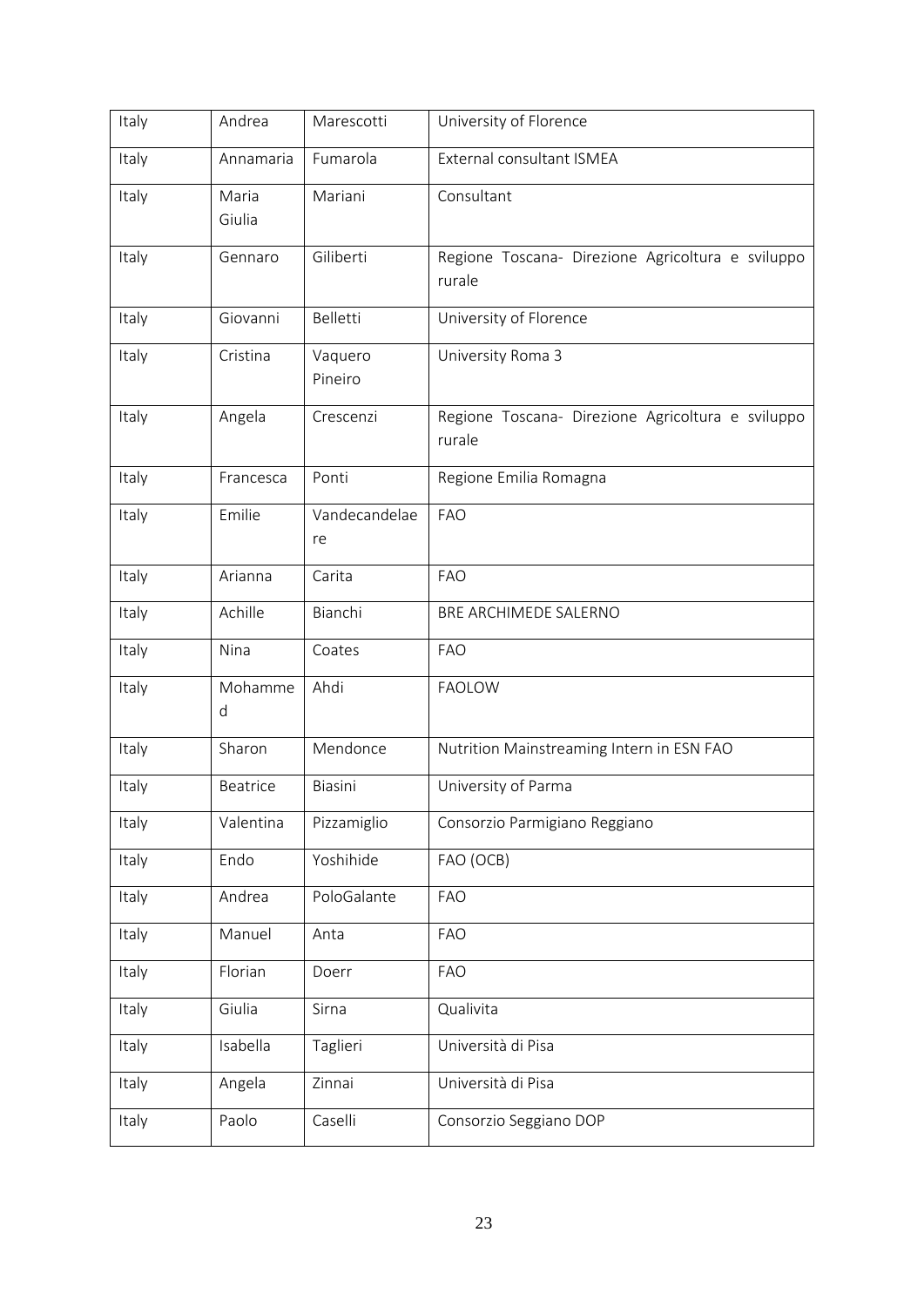| Italy | Andrea          | Marescotti          | University of Florence                                      |
|-------|-----------------|---------------------|-------------------------------------------------------------|
| Italy | Annamaria       | Fumarola            | External consultant ISMEA                                   |
| Italy | Maria<br>Giulia | Mariani             | Consultant                                                  |
| Italy | Gennaro         | Giliberti           | Regione Toscana- Direzione Agricoltura e sviluppo<br>rurale |
| Italy | Giovanni        | <b>Belletti</b>     | University of Florence                                      |
| Italy | Cristina        | Vaquero<br>Pineiro  | University Roma 3                                           |
| Italy | Angela          | Crescenzi           | Regione Toscana- Direzione Agricoltura e sviluppo<br>rurale |
| Italy | Francesca       | Ponti               | Regione Emilia Romagna                                      |
| Italy | Emilie          | Vandecandelae<br>re | <b>FAO</b>                                                  |
| Italy | Arianna         | Carita              | <b>FAO</b>                                                  |
| Italy | Achille         | Bianchi             | BRE ARCHIMEDE SALERNO                                       |
| Italy | Nina            | Coates              | <b>FAO</b>                                                  |
| Italy | Mohamme<br>d    | Ahdi                | <b>FAOLOW</b>                                               |
| Italy | Sharon          | Mendonce            | Nutrition Mainstreaming Intern in ESN FAO                   |
| Italy | Beatrice        | Biasini             | University of Parma                                         |
| Italy | Valentina       | Pizzamiglio         | Consorzio Parmigiano Reggiano                               |
| Italy | Endo            | Yoshihide           | FAO (OCB)                                                   |
| Italy | Andrea          | PoloGalante         | <b>FAO</b>                                                  |
| Italy | Manuel          | Anta                | <b>FAO</b>                                                  |
| Italy | Florian         | Doerr               | <b>FAO</b>                                                  |
| Italy | Giulia          | Sirna               | Qualivita                                                   |
| Italy | Isabella        | Taglieri            | Università di Pisa                                          |
| Italy | Angela          | Zinnai              | Università di Pisa                                          |
| Italy | Paolo           | Caselli             | Consorzio Seggiano DOP                                      |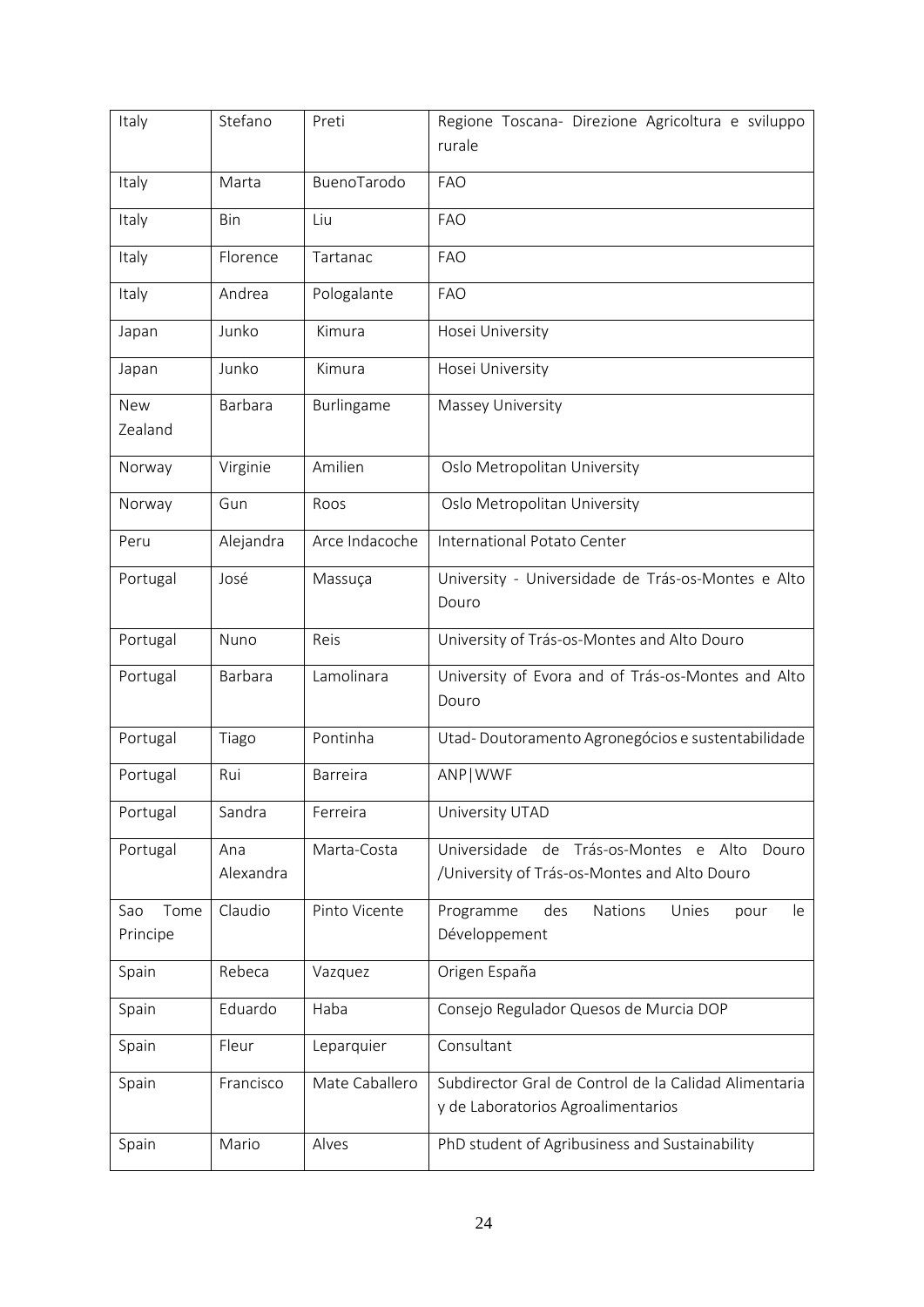| Italy                   | Stefano          | Preti           | Regione Toscana- Direzione Agricoltura e sviluppo<br>rurale                                    |
|-------------------------|------------------|-----------------|------------------------------------------------------------------------------------------------|
| Italy                   | Marta            | BuenoTarodo     | <b>FAO</b>                                                                                     |
| Italy                   | Bin              | Liu             | <b>FAO</b>                                                                                     |
| Italy                   | Florence         | Tartanac        | <b>FAO</b>                                                                                     |
| Italy                   | Andrea           | Pologalante     | <b>FAO</b>                                                                                     |
| Japan                   | Junko            | Kimura          | Hosei University                                                                               |
| Japan                   | Junko            | Kimura          | Hosei University                                                                               |
| New<br>Zealand          | Barbara          | Burlingame      | Massey University                                                                              |
| Norway                  | Virginie         | Amilien         | Oslo Metropolitan University                                                                   |
| Norway                  | Gun              | Roos            | Oslo Metropolitan University                                                                   |
| Peru                    | Alejandra        | Arce Indacoche  | International Potato Center                                                                    |
| Portugal                | José             | Massuça         | University - Universidade de Trás-os-Montes e Alto<br>Douro                                    |
| Portugal                | Nuno             | Reis            | University of Trás-os-Montes and Alto Douro                                                    |
| Portugal                | Barbara          | Lamolinara      | University of Evora and of Trás-os-Montes and Alto<br>Douro                                    |
| Portugal                | Tiago            | Pontinha        | Utad-Doutoramento Agronegócios e sustentabilidade                                              |
| Portugal                | Rui              | <b>Barreira</b> | ANP   WWF                                                                                      |
| Portugal                | Sandra           | Ferreira        | University UTAD                                                                                |
| Portugal                | Ana<br>Alexandra | Marta-Costa     | Universidade de Trás-os-Montes e Alto<br>Douro<br>/University of Trás-os-Montes and Alto Douro |
| Tome<br>Sao<br>Principe | Claudio          | Pinto Vicente   | Programme<br>des<br>Nations<br>Unies<br>pour<br>le<br>Développement                            |
| Spain                   | Rebeca           | Vazquez         | Origen España                                                                                  |
| Spain                   | Eduardo          | Haba            | Consejo Regulador Quesos de Murcia DOP                                                         |
| Spain                   | Fleur            | Leparquier      | Consultant                                                                                     |
| Spain                   | Francisco        | Mate Caballero  | Subdirector Gral de Control de la Calidad Alimentaria<br>y de Laboratorios Agroalimentarios    |
| Spain                   | Mario            | Alves           | PhD student of Agribusiness and Sustainability                                                 |